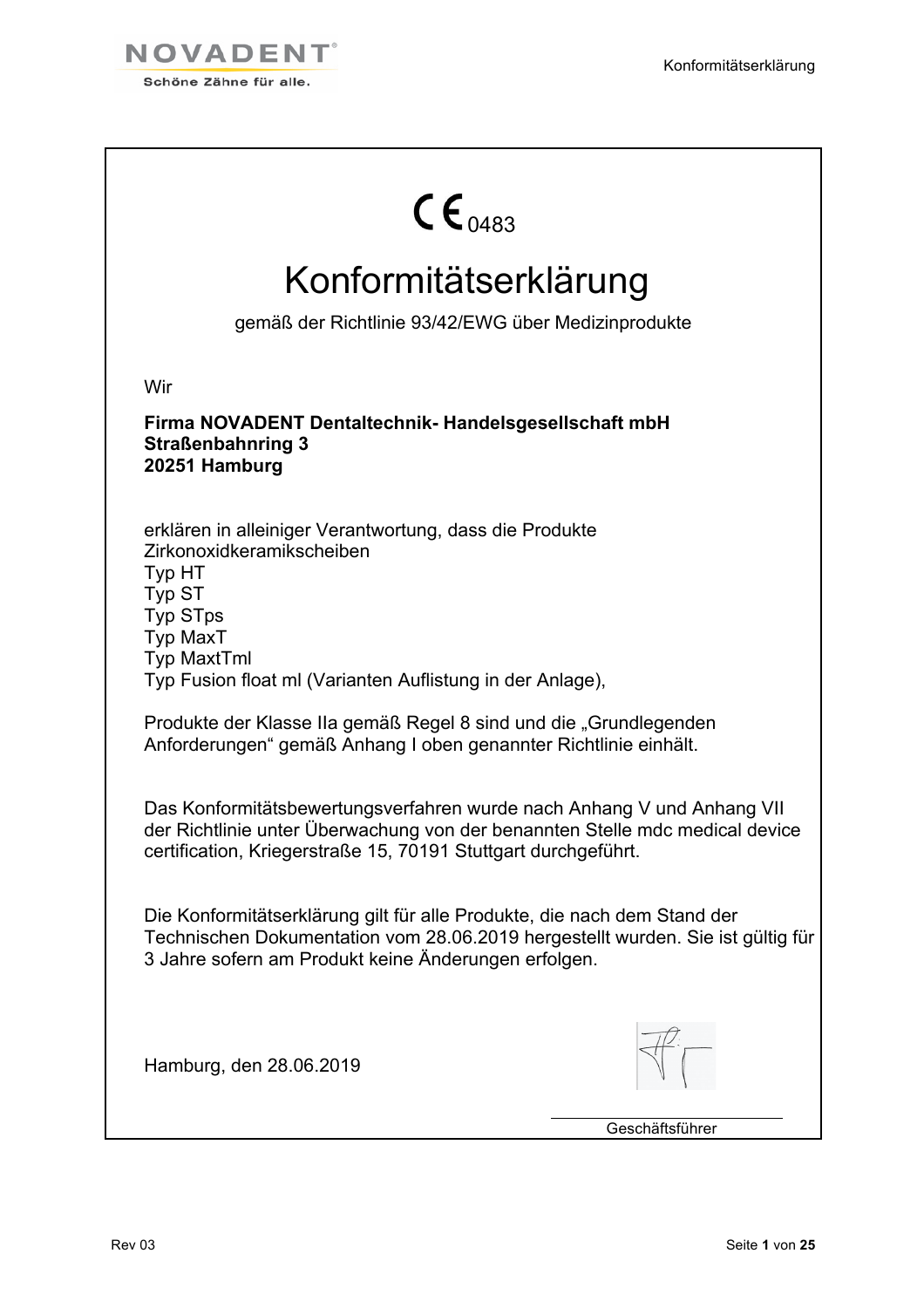

| $\mathsf{CE}_{0.483}$                                                                                                                                                                                                    |
|--------------------------------------------------------------------------------------------------------------------------------------------------------------------------------------------------------------------------|
| Konformitätserklärung                                                                                                                                                                                                    |
| gemäß der Richtlinie 93/42/EWG über Medizinprodukte                                                                                                                                                                      |
| Wir                                                                                                                                                                                                                      |
| Firma NOVADENT Dentaltechnik- Handelsgesellschaft mbH<br><b>Straßenbahnring 3</b><br>20251 Hamburg                                                                                                                       |
| erklären in alleiniger Verantwortung, dass die Produkte<br>Zirkonoxidkeramikscheiben<br>Typ HT<br>Typ ST<br><b>Typ STps</b><br><b>Typ MaxT</b><br><b>Typ MaxtTml</b>                                                     |
| Typ Fusion float ml (Varianten Auflistung in der Anlage),                                                                                                                                                                |
| Produkte der Klasse IIa gemäß Regel 8 sind und die "Grundlegenden<br>Anforderungen" gemäß Anhang I oben genannter Richtlinie einhält.                                                                                    |
| Das Konformitätsbewertungsverfahren wurde nach Anhang V und Anhang VII<br>der Richtlinie unter Überwachung von der benannten Stelle mdc medical device<br>certification, Kriegerstraße 15, 70191 Stuttgart durchgeführt. |
| Die Konformitätserklärung gilt für alle Produkte, die nach dem Stand der<br>Technischen Dokumentation vom 28.06.2019 hergestellt wurden. Sie ist gültig für<br>3 Jahre sofern am Produkt keine Änderungen erfolgen.      |
| Hamburg, den 28.06.2019                                                                                                                                                                                                  |
| Geschäftsführer                                                                                                                                                                                                          |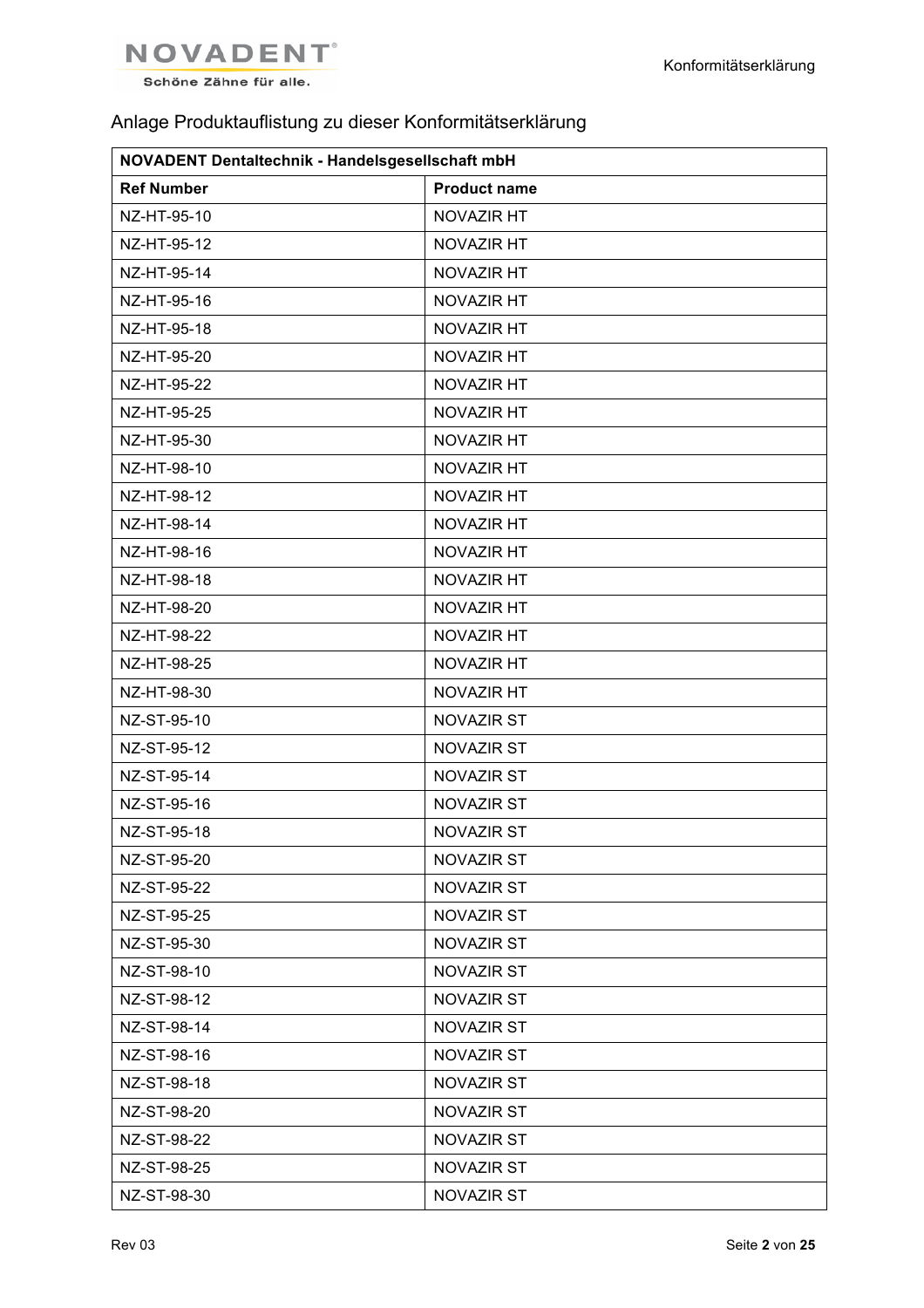

## Anlage Produktauflistung zu dieser Konformitätserklärung

| NOVADENT Dentaltechnik - Handelsgesellschaft mbH |                     |  |
|--------------------------------------------------|---------------------|--|
| <b>Ref Number</b>                                | <b>Product name</b> |  |
| NZ-HT-95-10                                      | NOVAZIR HT          |  |
| NZ-HT-95-12                                      | NOVAZIR HT          |  |
| NZ-HT-95-14                                      | NOVAZIR HT          |  |
| NZ-HT-95-16                                      | NOVAZIR HT          |  |
| NZ-HT-95-18                                      | NOVAZIR HT          |  |
| NZ-HT-95-20                                      | NOVAZIR HT          |  |
| NZ-HT-95-22                                      | NOVAZIR HT          |  |
| NZ-HT-95-25                                      | NOVAZIR HT          |  |
| NZ-HT-95-30                                      | NOVAZIR HT          |  |
| NZ-HT-98-10                                      | NOVAZIR HT          |  |
| NZ-HT-98-12                                      | NOVAZIR HT          |  |
| NZ-HT-98-14                                      | NOVAZIR HT          |  |
| NZ-HT-98-16                                      | NOVAZIR HT          |  |
| NZ-HT-98-18                                      | NOVAZIR HT          |  |
| NZ-HT-98-20                                      | NOVAZIR HT          |  |
| NZ-HT-98-22                                      | NOVAZIR HT          |  |
| NZ-HT-98-25                                      | NOVAZIR HT          |  |
| NZ-HT-98-30                                      | NOVAZIR HT          |  |
| NZ-ST-95-10                                      | NOVAZIR ST          |  |
| NZ-ST-95-12                                      | <b>NOVAZIR ST</b>   |  |
| NZ-ST-95-14                                      | <b>NOVAZIR ST</b>   |  |
| NZ-ST-95-16                                      | <b>NOVAZIR ST</b>   |  |
| NZ-ST-95-18                                      | <b>NOVAZIR ST</b>   |  |
| NZ-ST-95-20                                      | <b>NOVAZIR ST</b>   |  |
| NZ-ST-95-22                                      | <b>NOVAZIR ST</b>   |  |
| NZ-ST-95-25                                      | <b>NOVAZIR ST</b>   |  |
| NZ-ST-95-30                                      | NOVAZIR ST          |  |
| NZ-ST-98-10                                      | <b>NOVAZIR ST</b>   |  |
| NZ-ST-98-12                                      | NOVAZIR ST          |  |
| NZ-ST-98-14                                      | <b>NOVAZIR ST</b>   |  |
| NZ-ST-98-16                                      | NOVAZIR ST          |  |
| NZ-ST-98-18                                      | <b>NOVAZIR ST</b>   |  |
| NZ-ST-98-20                                      | NOVAZIR ST          |  |
| NZ-ST-98-22                                      | <b>NOVAZIR ST</b>   |  |
| NZ-ST-98-25                                      | NOVAZIR ST          |  |
| NZ-ST-98-30                                      | NOVAZIR ST          |  |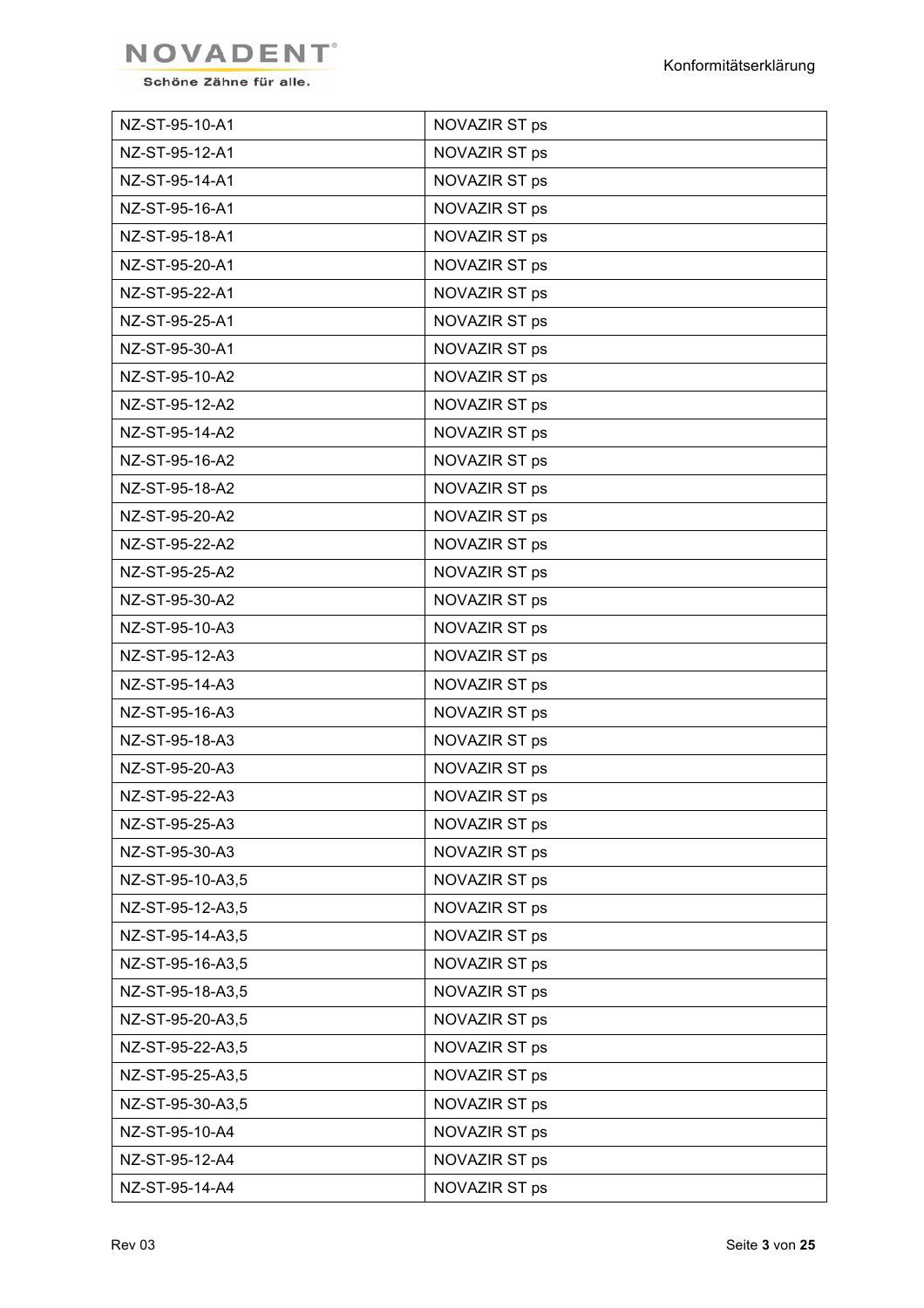

| NZ-ST-95-10-A1   | NOVAZIR ST ps |
|------------------|---------------|
| NZ-ST-95-12-A1   | NOVAZIR ST ps |
| NZ-ST-95-14-A1   | NOVAZIR ST ps |
| NZ-ST-95-16-A1   | NOVAZIR ST ps |
| NZ-ST-95-18-A1   | NOVAZIR ST ps |
| NZ-ST-95-20-A1   | NOVAZIR ST ps |
| NZ-ST-95-22-A1   | NOVAZIR ST ps |
| NZ-ST-95-25-A1   | NOVAZIR ST ps |
| NZ-ST-95-30-A1   | NOVAZIR ST ps |
| NZ-ST-95-10-A2   | NOVAZIR ST ps |
| NZ-ST-95-12-A2   | NOVAZIR ST ps |
| NZ-ST-95-14-A2   | NOVAZIR ST ps |
| NZ-ST-95-16-A2   | NOVAZIR ST ps |
| NZ-ST-95-18-A2   | NOVAZIR ST ps |
| NZ-ST-95-20-A2   | NOVAZIR ST ps |
| NZ-ST-95-22-A2   | NOVAZIR ST ps |
| NZ-ST-95-25-A2   | NOVAZIR ST ps |
| NZ-ST-95-30-A2   | NOVAZIR ST ps |
| NZ-ST-95-10-A3   | NOVAZIR ST ps |
| NZ-ST-95-12-A3   | NOVAZIR ST ps |
| NZ-ST-95-14-A3   | NOVAZIR ST ps |
| NZ-ST-95-16-A3   | NOVAZIR ST ps |
| NZ-ST-95-18-A3   | NOVAZIR ST ps |
| NZ-ST-95-20-A3   | NOVAZIR ST ps |
| NZ-ST-95-22-A3   | NOVAZIR ST ps |
| NZ-ST-95-25-A3   | NOVAZIR ST ps |
| NZ-ST-95-30-A3   | NOVAZIR ST ps |
| NZ-ST-95-10-A3,5 | NOVAZIR ST ps |
| NZ-ST-95-12-A3,5 | NOVAZIR ST ps |
| NZ-ST-95-14-A3,5 | NOVAZIR ST ps |
| NZ-ST-95-16-A3,5 | NOVAZIR ST ps |
| NZ-ST-95-18-A3,5 | NOVAZIR ST ps |
| NZ-ST-95-20-A3,5 | NOVAZIR ST ps |
| NZ-ST-95-22-A3,5 | NOVAZIR ST ps |
| NZ-ST-95-25-A3,5 | NOVAZIR ST ps |
| NZ-ST-95-30-A3,5 | NOVAZIR ST ps |
| NZ-ST-95-10-A4   | NOVAZIR ST ps |
| NZ-ST-95-12-A4   | NOVAZIR ST ps |
| NZ-ST-95-14-A4   | NOVAZIR ST ps |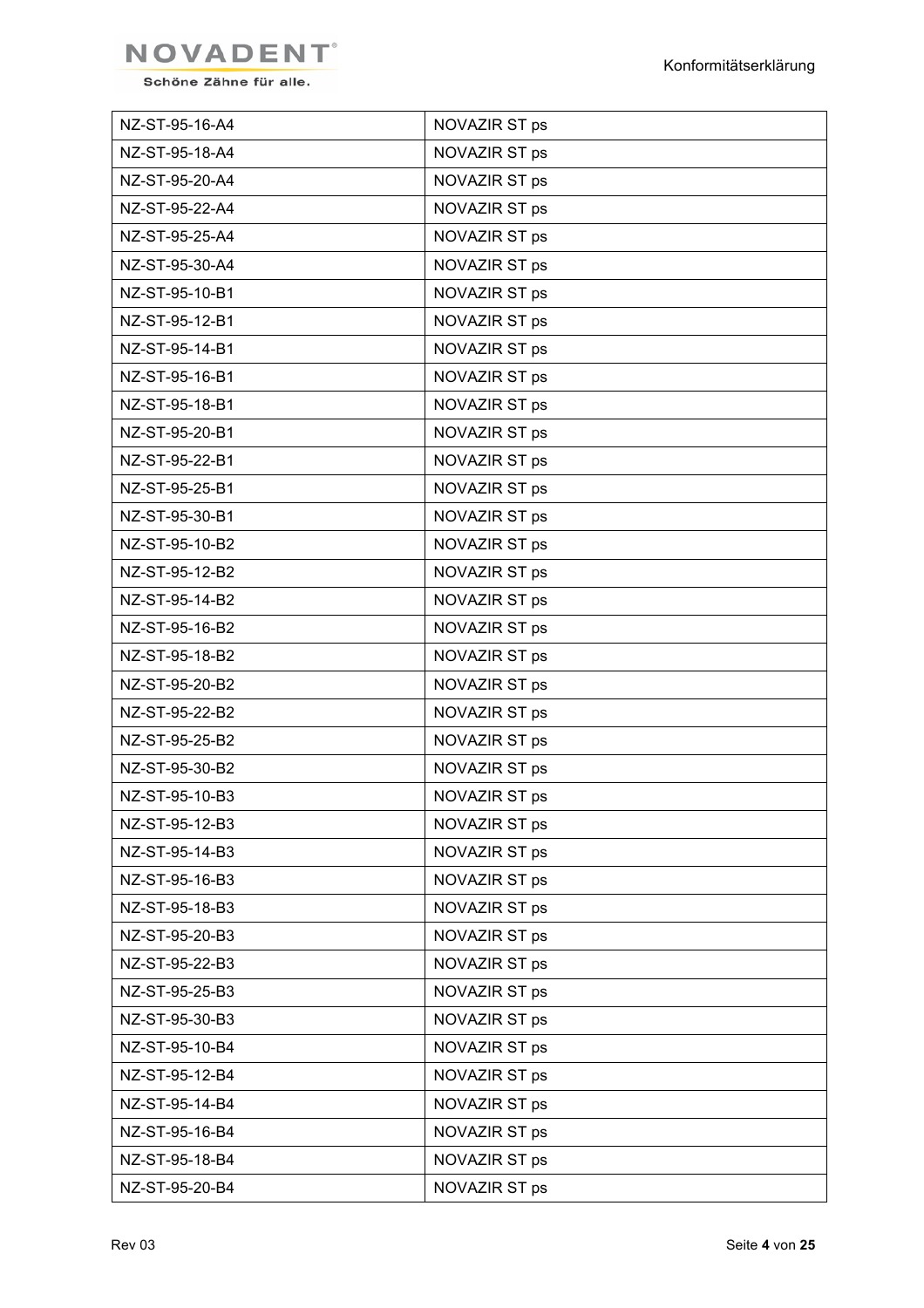

| NZ-ST-95-16-A4 | NOVAZIR ST ps |
|----------------|---------------|
| NZ-ST-95-18-A4 | NOVAZIR ST ps |
| NZ-ST-95-20-A4 | NOVAZIR ST ps |
| NZ-ST-95-22-A4 | NOVAZIR ST ps |
| NZ-ST-95-25-A4 | NOVAZIR ST ps |
| NZ-ST-95-30-A4 | NOVAZIR ST ps |
| NZ-ST-95-10-B1 | NOVAZIR ST ps |
| NZ-ST-95-12-B1 | NOVAZIR ST ps |
| NZ-ST-95-14-B1 | NOVAZIR ST ps |
| NZ-ST-95-16-B1 | NOVAZIR ST ps |
| NZ-ST-95-18-B1 | NOVAZIR ST ps |
| NZ-ST-95-20-B1 | NOVAZIR ST ps |
| NZ-ST-95-22-B1 | NOVAZIR ST ps |
| NZ-ST-95-25-B1 | NOVAZIR ST ps |
| NZ-ST-95-30-B1 | NOVAZIR ST ps |
| NZ-ST-95-10-B2 | NOVAZIR ST ps |
| NZ-ST-95-12-B2 | NOVAZIR ST ps |
| NZ-ST-95-14-B2 | NOVAZIR ST ps |
| NZ-ST-95-16-B2 | NOVAZIR ST ps |
| NZ-ST-95-18-B2 | NOVAZIR ST ps |
| NZ-ST-95-20-B2 | NOVAZIR ST ps |
| NZ-ST-95-22-B2 | NOVAZIR ST ps |
| NZ-ST-95-25-B2 | NOVAZIR ST ps |
| NZ-ST-95-30-B2 | NOVAZIR ST ps |
| NZ-ST-95-10-B3 | NOVAZIR ST ps |
| NZ-ST-95-12-B3 | NOVAZIR ST ps |
| NZ-ST-95-14-B3 | NOVAZIR ST ps |
| NZ-ST-95-16-B3 | NOVAZIR ST ps |
| NZ-ST-95-18-B3 | NOVAZIR ST ps |
| NZ-ST-95-20-B3 | NOVAZIR ST ps |
| NZ-ST-95-22-B3 | NOVAZIR ST ps |
| NZ-ST-95-25-B3 | NOVAZIR ST ps |
| NZ-ST-95-30-B3 | NOVAZIR ST ps |
| NZ-ST-95-10-B4 | NOVAZIR ST ps |
| NZ-ST-95-12-B4 | NOVAZIR ST ps |
| NZ-ST-95-14-B4 | NOVAZIR ST ps |
| NZ-ST-95-16-B4 | NOVAZIR ST ps |
| NZ-ST-95-18-B4 | NOVAZIR ST ps |
| NZ-ST-95-20-B4 | NOVAZIR ST ps |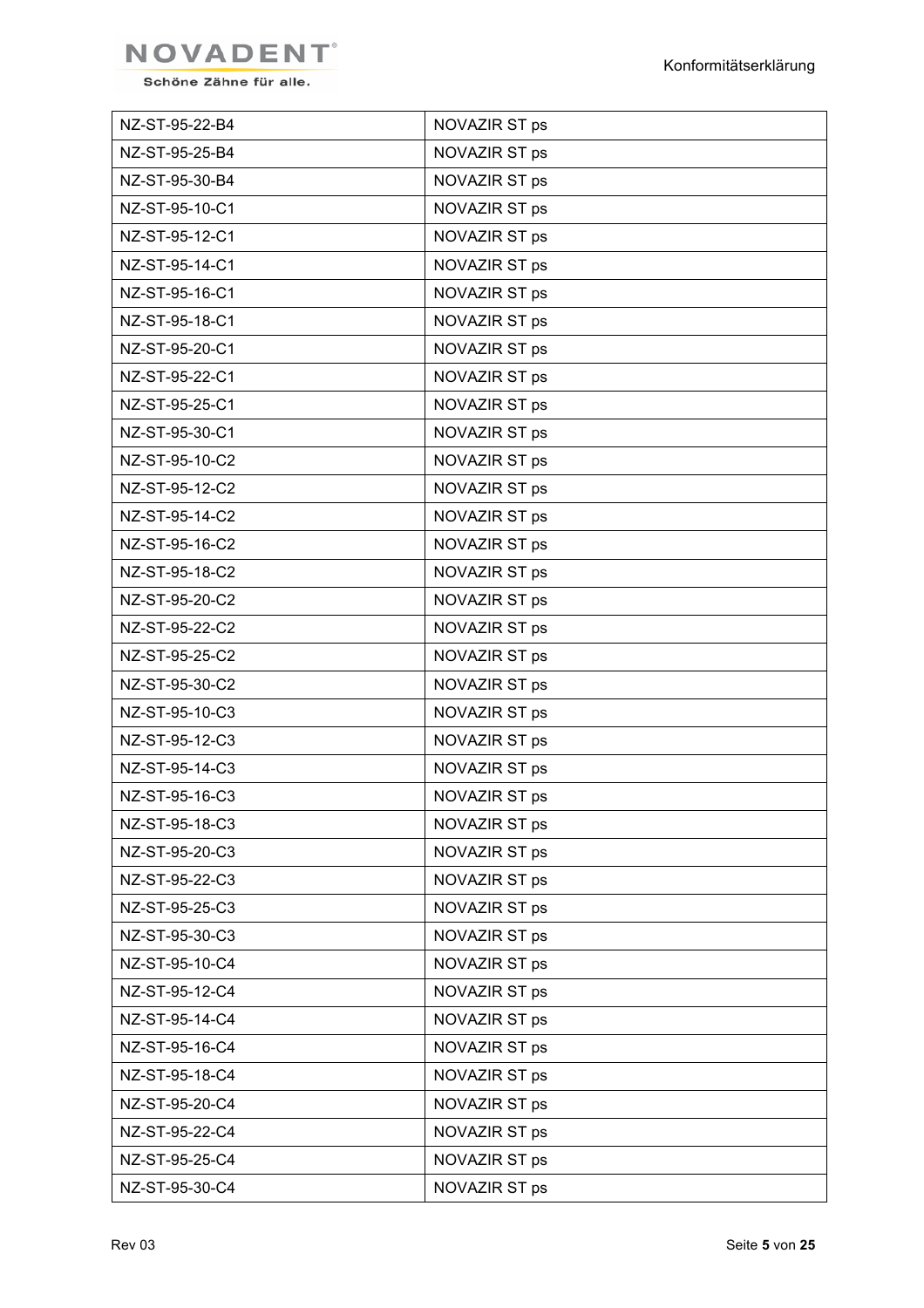

| NZ-ST-95-22-B4 | NOVAZIR ST ps |
|----------------|---------------|
| NZ-ST-95-25-B4 | NOVAZIR ST ps |
| NZ-ST-95-30-B4 | NOVAZIR ST ps |
| NZ-ST-95-10-C1 | NOVAZIR ST ps |
| NZ-ST-95-12-C1 | NOVAZIR ST ps |
| NZ-ST-95-14-C1 | NOVAZIR ST ps |
| NZ-ST-95-16-C1 | NOVAZIR ST ps |
| NZ-ST-95-18-C1 | NOVAZIR ST ps |
| NZ-ST-95-20-C1 | NOVAZIR ST ps |
| NZ-ST-95-22-C1 | NOVAZIR ST ps |
| NZ-ST-95-25-C1 | NOVAZIR ST ps |
| NZ-ST-95-30-C1 | NOVAZIR ST ps |
| NZ-ST-95-10-C2 | NOVAZIR ST ps |
| NZ-ST-95-12-C2 | NOVAZIR ST ps |
| NZ-ST-95-14-C2 | NOVAZIR ST ps |
| NZ-ST-95-16-C2 | NOVAZIR ST ps |
| NZ-ST-95-18-C2 | NOVAZIR ST ps |
| NZ-ST-95-20-C2 | NOVAZIR ST ps |
| NZ-ST-95-22-C2 | NOVAZIR ST ps |
| NZ-ST-95-25-C2 | NOVAZIR ST ps |
| NZ-ST-95-30-C2 | NOVAZIR ST ps |
| NZ-ST-95-10-C3 | NOVAZIR ST ps |
| NZ-ST-95-12-C3 | NOVAZIR ST ps |
| NZ-ST-95-14-C3 | NOVAZIR ST ps |
| NZ-ST-95-16-C3 | NOVAZIR ST ps |
| NZ-ST-95-18-C3 | NOVAZIR ST ps |
| NZ-ST-95-20-C3 | NOVAZIR ST ps |
| NZ-ST-95-22-C3 | NOVAZIR ST ps |
| NZ-ST-95-25-C3 | NOVAZIR ST ps |
| NZ-ST-95-30-C3 | NOVAZIR ST ps |
| NZ-ST-95-10-C4 | NOVAZIR ST ps |
| NZ-ST-95-12-C4 | NOVAZIR ST ps |
| NZ-ST-95-14-C4 | NOVAZIR ST ps |
| NZ-ST-95-16-C4 | NOVAZIR ST ps |
| NZ-ST-95-18-C4 | NOVAZIR ST ps |
| NZ-ST-95-20-C4 | NOVAZIR ST ps |
| NZ-ST-95-22-C4 | NOVAZIR ST ps |
| NZ-ST-95-25-C4 | NOVAZIR ST ps |
| NZ-ST-95-30-C4 | NOVAZIR ST ps |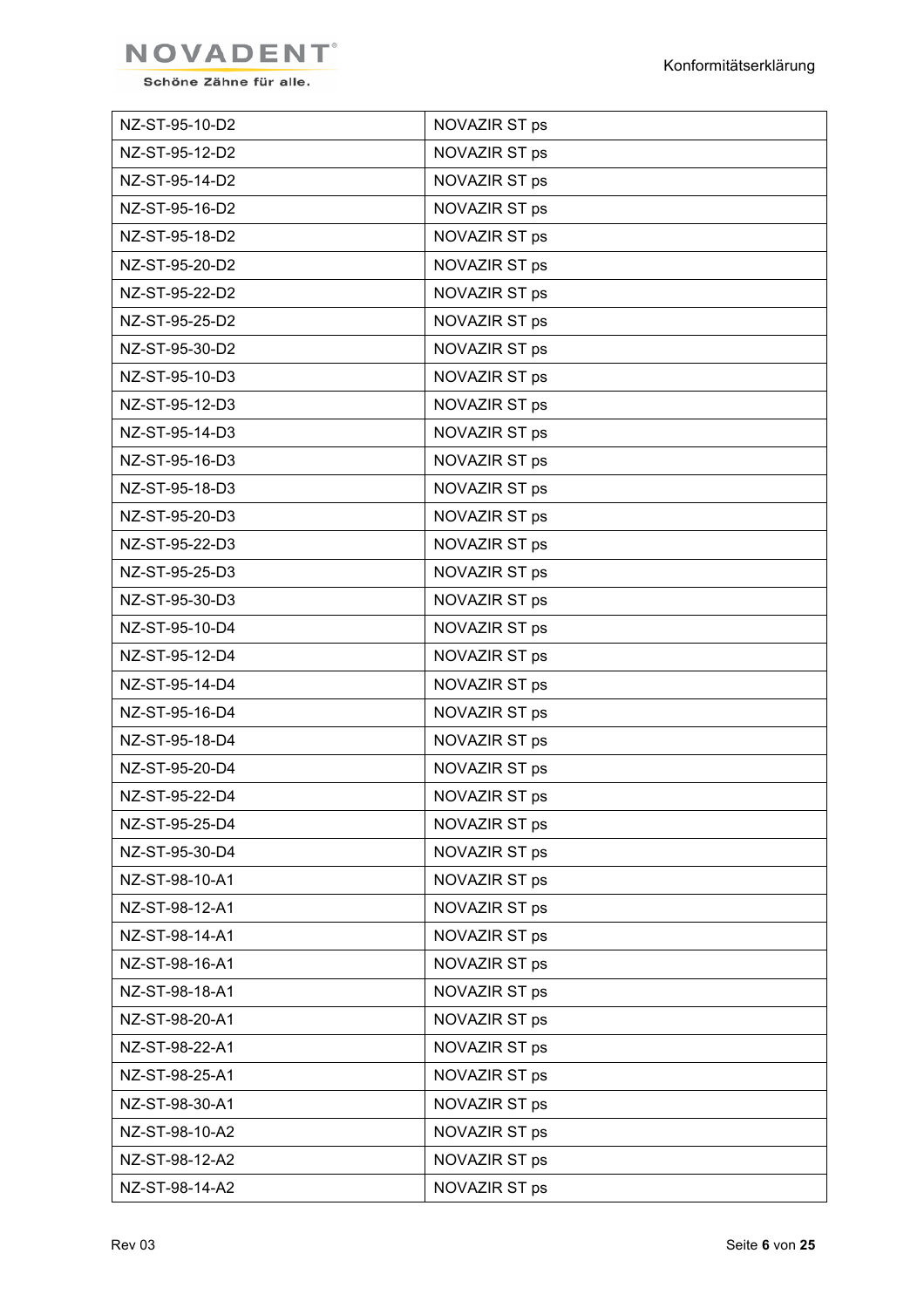

| NZ-ST-95-10-D2 | NOVAZIR ST ps |
|----------------|---------------|
| NZ-ST-95-12-D2 | NOVAZIR ST ps |
| NZ-ST-95-14-D2 | NOVAZIR ST ps |
| NZ-ST-95-16-D2 | NOVAZIR ST ps |
| NZ-ST-95-18-D2 | NOVAZIR ST ps |
| NZ-ST-95-20-D2 | NOVAZIR ST ps |
| NZ-ST-95-22-D2 | NOVAZIR ST ps |
| NZ-ST-95-25-D2 | NOVAZIR ST ps |
| NZ-ST-95-30-D2 | NOVAZIR ST ps |
| NZ-ST-95-10-D3 | NOVAZIR ST ps |
| NZ-ST-95-12-D3 | NOVAZIR ST ps |
| NZ-ST-95-14-D3 | NOVAZIR ST ps |
| NZ-ST-95-16-D3 | NOVAZIR ST ps |
| NZ-ST-95-18-D3 | NOVAZIR ST ps |
| NZ-ST-95-20-D3 | NOVAZIR ST ps |
| NZ-ST-95-22-D3 | NOVAZIR ST ps |
| NZ-ST-95-25-D3 | NOVAZIR ST ps |
| NZ-ST-95-30-D3 | NOVAZIR ST ps |
| NZ-ST-95-10-D4 | NOVAZIR ST ps |
| NZ-ST-95-12-D4 | NOVAZIR ST ps |
| NZ-ST-95-14-D4 | NOVAZIR ST ps |
| NZ-ST-95-16-D4 | NOVAZIR ST ps |
| NZ-ST-95-18-D4 | NOVAZIR ST ps |
| NZ-ST-95-20-D4 | NOVAZIR ST ps |
| NZ-ST-95-22-D4 | NOVAZIR ST ps |
| NZ-ST-95-25-D4 | NOVAZIR ST ps |
| NZ-ST-95-30-D4 | NOVAZIR ST ps |
| NZ-ST-98-10-A1 | NOVAZIR ST ps |
| NZ-ST-98-12-A1 | NOVAZIR ST ps |
| NZ-ST-98-14-A1 | NOVAZIR ST ps |
| NZ-ST-98-16-A1 | NOVAZIR ST ps |
| NZ-ST-98-18-A1 | NOVAZIR ST ps |
| NZ-ST-98-20-A1 | NOVAZIR ST ps |
| NZ-ST-98-22-A1 | NOVAZIR ST ps |
| NZ-ST-98-25-A1 | NOVAZIR ST ps |
| NZ-ST-98-30-A1 | NOVAZIR ST ps |
| NZ-ST-98-10-A2 | NOVAZIR ST ps |
| NZ-ST-98-12-A2 | NOVAZIR ST ps |
| NZ-ST-98-14-A2 | NOVAZIR ST ps |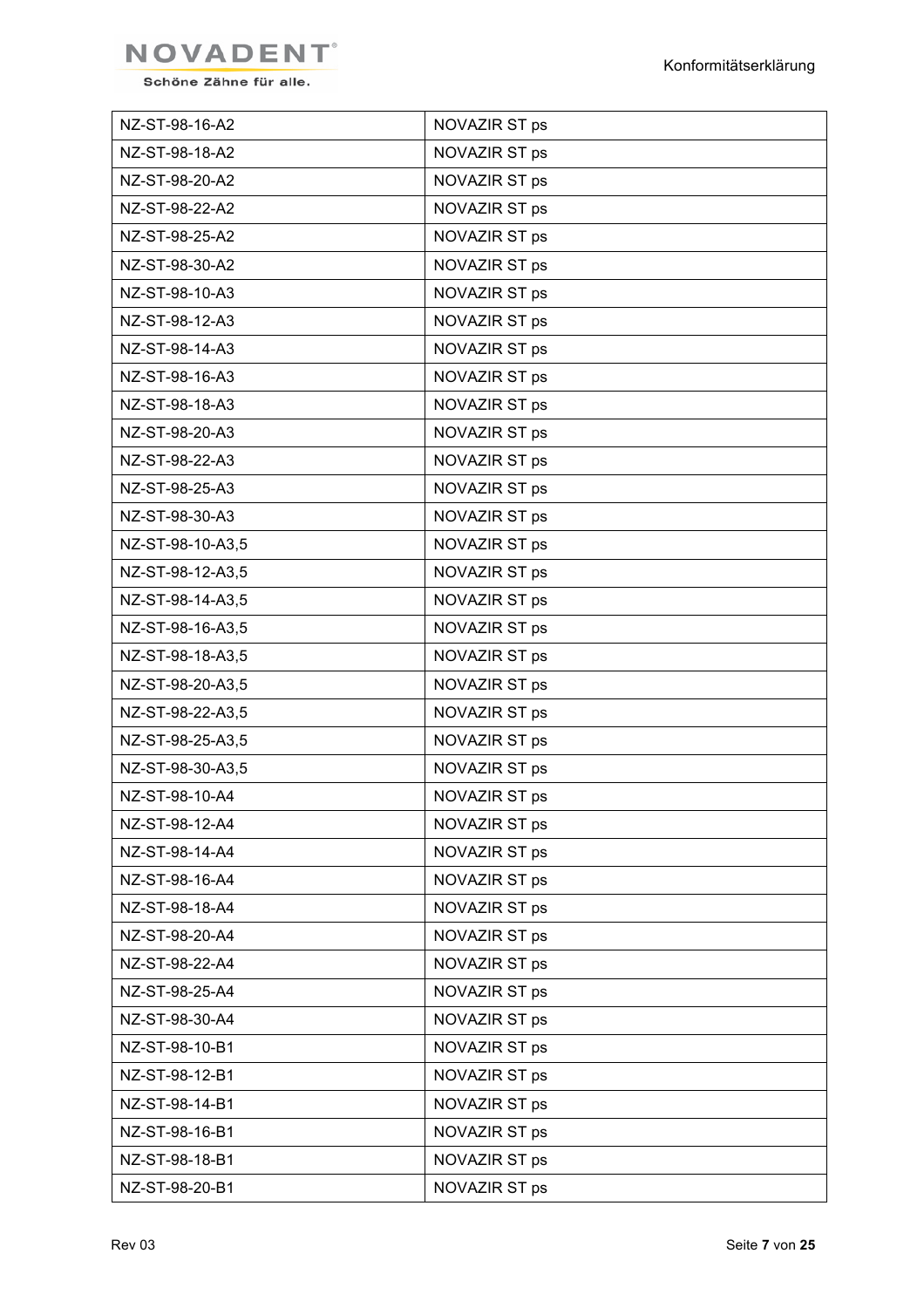

| NZ-ST-98-16-A2   | NOVAZIR ST ps |
|------------------|---------------|
| NZ-ST-98-18-A2   | NOVAZIR ST ps |
| NZ-ST-98-20-A2   | NOVAZIR ST ps |
| NZ-ST-98-22-A2   | NOVAZIR ST ps |
| NZ-ST-98-25-A2   | NOVAZIR ST ps |
| NZ-ST-98-30-A2   | NOVAZIR ST ps |
| NZ-ST-98-10-A3   | NOVAZIR ST ps |
| NZ-ST-98-12-A3   | NOVAZIR ST ps |
| NZ-ST-98-14-A3   | NOVAZIR ST ps |
| NZ-ST-98-16-A3   | NOVAZIR ST ps |
| NZ-ST-98-18-A3   | NOVAZIR ST ps |
| NZ-ST-98-20-A3   | NOVAZIR ST ps |
| NZ-ST-98-22-A3   | NOVAZIR ST ps |
| NZ-ST-98-25-A3   | NOVAZIR ST ps |
| NZ-ST-98-30-A3   | NOVAZIR ST ps |
| NZ-ST-98-10-A3,5 | NOVAZIR ST ps |
| NZ-ST-98-12-A3,5 | NOVAZIR ST ps |
| NZ-ST-98-14-A3,5 | NOVAZIR ST ps |
| NZ-ST-98-16-A3,5 | NOVAZIR ST ps |
| NZ-ST-98-18-A3,5 | NOVAZIR ST ps |
| NZ-ST-98-20-A3,5 | NOVAZIR ST ps |
| NZ-ST-98-22-A3,5 | NOVAZIR ST ps |
| NZ-ST-98-25-A3,5 | NOVAZIR ST ps |
| NZ-ST-98-30-A3,5 | NOVAZIR ST ps |
| NZ-ST-98-10-A4   | NOVAZIR ST ps |
| NZ-ST-98-12-A4   | NOVAZIR ST ps |
| NZ-ST-98-14-A4   | NOVAZIR ST ps |
| NZ-ST-98-16-A4   | NOVAZIR ST ps |
| NZ-ST-98-18-A4   | NOVAZIR ST ps |
| NZ-ST-98-20-A4   | NOVAZIR ST ps |
| NZ-ST-98-22-A4   | NOVAZIR ST ps |
| NZ-ST-98-25-A4   | NOVAZIR ST ps |
| NZ-ST-98-30-A4   | NOVAZIR ST ps |
| NZ-ST-98-10-B1   | NOVAZIR ST ps |
| NZ-ST-98-12-B1   | NOVAZIR ST ps |
| NZ-ST-98-14-B1   | NOVAZIR ST ps |
| NZ-ST-98-16-B1   | NOVAZIR ST ps |
| NZ-ST-98-18-B1   | NOVAZIR ST ps |
| NZ-ST-98-20-B1   | NOVAZIR ST ps |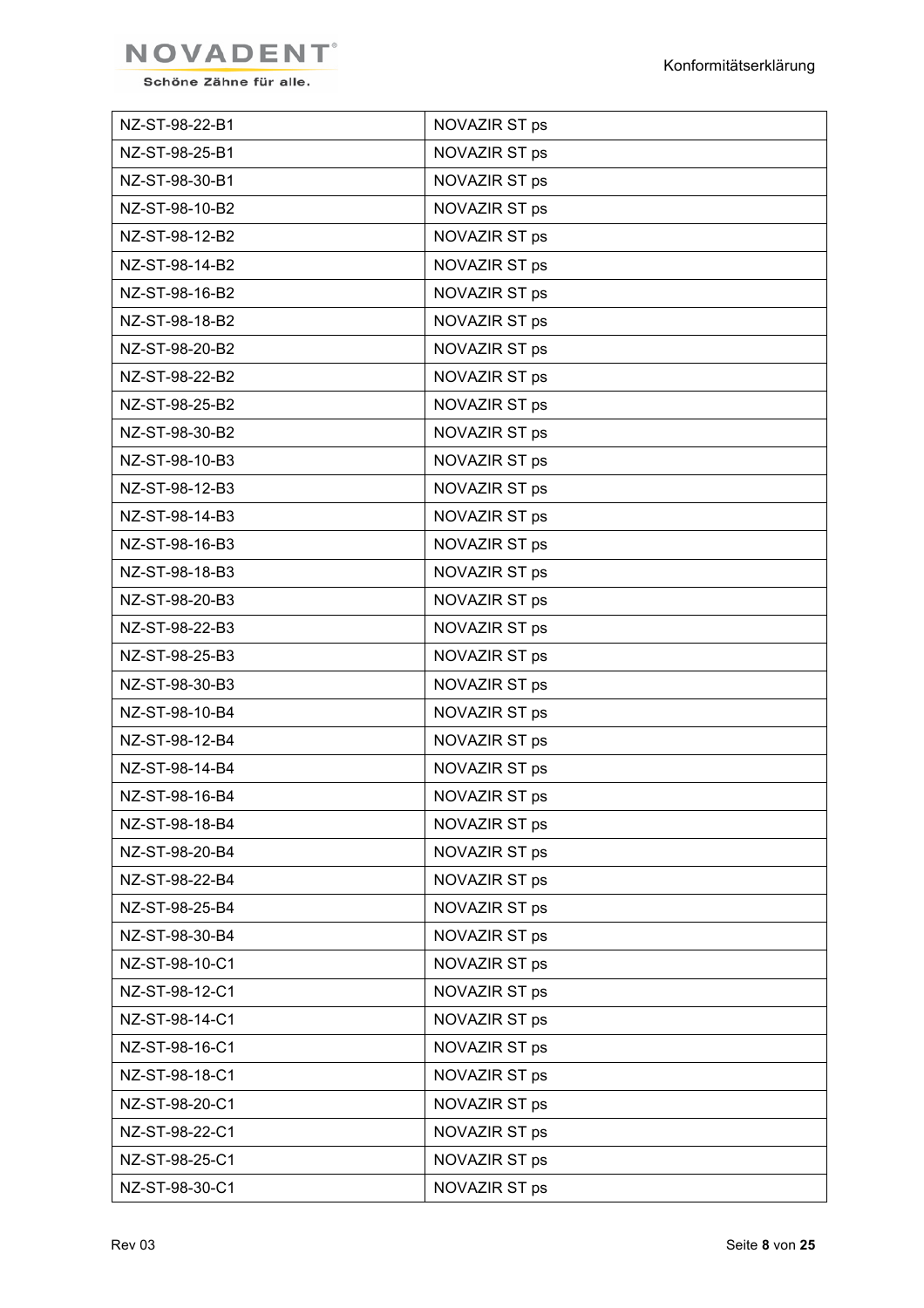

| NZ-ST-98-22-B1 | NOVAZIR ST ps |
|----------------|---------------|
| NZ-ST-98-25-B1 | NOVAZIR ST ps |
| NZ-ST-98-30-B1 | NOVAZIR ST ps |
| NZ-ST-98-10-B2 | NOVAZIR ST ps |
| NZ-ST-98-12-B2 | NOVAZIR ST ps |
| NZ-ST-98-14-B2 | NOVAZIR ST ps |
| NZ-ST-98-16-B2 | NOVAZIR ST ps |
| NZ-ST-98-18-B2 | NOVAZIR ST ps |
| NZ-ST-98-20-B2 | NOVAZIR ST ps |
| NZ-ST-98-22-B2 | NOVAZIR ST ps |
| NZ-ST-98-25-B2 | NOVAZIR ST ps |
| NZ-ST-98-30-B2 | NOVAZIR ST ps |
| NZ-ST-98-10-B3 | NOVAZIR ST ps |
| NZ-ST-98-12-B3 | NOVAZIR ST ps |
| NZ-ST-98-14-B3 | NOVAZIR ST ps |
| NZ-ST-98-16-B3 | NOVAZIR ST ps |
| NZ-ST-98-18-B3 | NOVAZIR ST ps |
| NZ-ST-98-20-B3 | NOVAZIR ST ps |
| NZ-ST-98-22-B3 | NOVAZIR ST ps |
| NZ-ST-98-25-B3 | NOVAZIR ST ps |
| NZ-ST-98-30-B3 | NOVAZIR ST ps |
| NZ-ST-98-10-B4 | NOVAZIR ST ps |
| NZ-ST-98-12-B4 | NOVAZIR ST ps |
| NZ-ST-98-14-B4 | NOVAZIR ST ps |
| NZ-ST-98-16-B4 | NOVAZIR ST ps |
| NZ-ST-98-18-B4 | NOVAZIR ST ps |
| NZ-ST-98-20-B4 | NOVAZIR ST ps |
| NZ-ST-98-22-B4 | NOVAZIR ST ps |
| NZ-ST-98-25-B4 | NOVAZIR ST ps |
| NZ-ST-98-30-B4 | NOVAZIR ST ps |
| NZ-ST-98-10-C1 | NOVAZIR ST ps |
| NZ-ST-98-12-C1 | NOVAZIR ST ps |
| NZ-ST-98-14-C1 | NOVAZIR ST ps |
| NZ-ST-98-16-C1 | NOVAZIR ST ps |
| NZ-ST-98-18-C1 | NOVAZIR ST ps |
| NZ-ST-98-20-C1 | NOVAZIR ST ps |
| NZ-ST-98-22-C1 | NOVAZIR ST ps |
| NZ-ST-98-25-C1 | NOVAZIR ST ps |
| NZ-ST-98-30-C1 | NOVAZIR ST ps |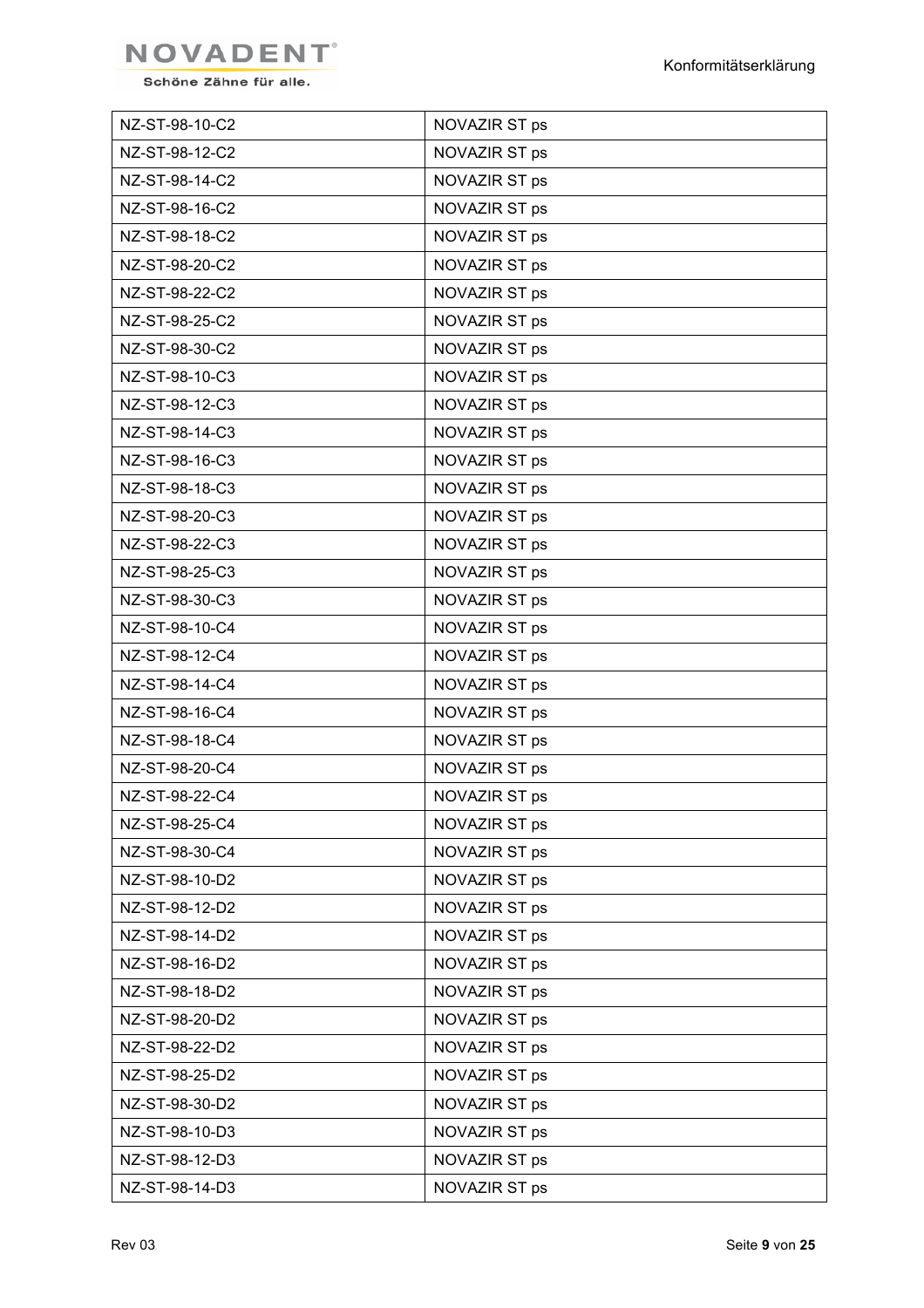

| NZ-ST-98-10-C2 | NOVAZIR ST ps |
|----------------|---------------|
| NZ-ST-98-12-C2 | NOVAZIR ST ps |
| NZ-ST-98-14-C2 | NOVAZIR ST ps |
| NZ-ST-98-16-C2 | NOVAZIR ST ps |
| NZ-ST-98-18-C2 | NOVAZIR ST ps |
| NZ-ST-98-20-C2 | NOVAZIR ST ps |
| NZ-ST-98-22-C2 | NOVAZIR ST ps |
| NZ-ST-98-25-C2 | NOVAZIR ST ps |
| NZ-ST-98-30-C2 | NOVAZIR ST ps |
| NZ-ST-98-10-C3 | NOVAZIR ST ps |
| NZ-ST-98-12-C3 | NOVAZIR ST ps |
| NZ-ST-98-14-C3 | NOVAZIR ST ps |
| NZ-ST-98-16-C3 | NOVAZIR ST ps |
| NZ-ST-98-18-C3 | NOVAZIR ST ps |
| NZ-ST-98-20-C3 | NOVAZIR ST ps |
| NZ-ST-98-22-C3 | NOVAZIR ST ps |
| NZ-ST-98-25-C3 | NOVAZIR ST ps |
| NZ-ST-98-30-C3 | NOVAZIR ST ps |
| NZ-ST-98-10-C4 | NOVAZIR ST ps |
| NZ-ST-98-12-C4 | NOVAZIR ST ps |
| NZ-ST-98-14-C4 | NOVAZIR ST ps |
| NZ-ST-98-16-C4 | NOVAZIR ST ps |
| NZ-ST-98-18-C4 | NOVAZIR ST ps |
| NZ-ST-98-20-C4 | NOVAZIR ST ps |
| NZ-ST-98-22-C4 | NOVAZIR ST ps |
| NZ-ST-98-25-C4 | NOVAZIR ST ps |
| NZ-ST-98-30-C4 | NOVAZIR ST ps |
| NZ-ST-98-10-D2 | NOVAZIR ST ps |
| NZ-ST-98-12-D2 | NOVAZIR ST ps |
| NZ-ST-98-14-D2 | NOVAZIR ST ps |
| NZ-ST-98-16-D2 | NOVAZIR ST ps |
| NZ-ST-98-18-D2 | NOVAZIR ST ps |
| NZ-ST-98-20-D2 | NOVAZIR ST ps |
| NZ-ST-98-22-D2 | NOVAZIR ST ps |
| NZ-ST-98-25-D2 | NOVAZIR ST ps |
| NZ-ST-98-30-D2 | NOVAZIR ST ps |
| NZ-ST-98-10-D3 | NOVAZIR ST ps |
| NZ-ST-98-12-D3 | NOVAZIR ST ps |
| NZ-ST-98-14-D3 | NOVAZIR ST ps |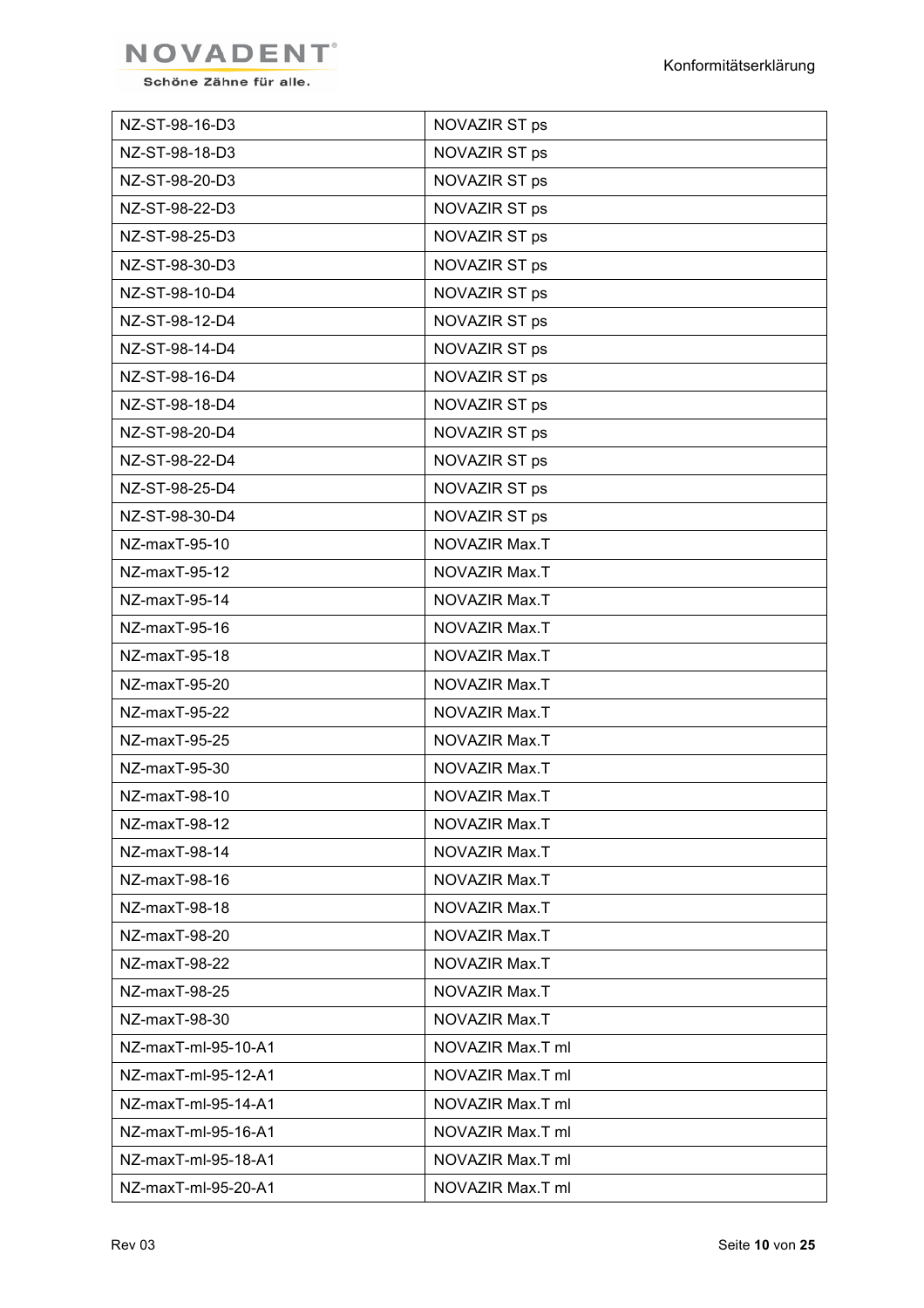

| NZ-ST-98-16-D3      | NOVAZIR ST ps    |
|---------------------|------------------|
| NZ-ST-98-18-D3      | NOVAZIR ST ps    |
| NZ-ST-98-20-D3      | NOVAZIR ST ps    |
| NZ-ST-98-22-D3      | NOVAZIR ST ps    |
| NZ-ST-98-25-D3      | NOVAZIR ST ps    |
| NZ-ST-98-30-D3      | NOVAZIR ST ps    |
| NZ-ST-98-10-D4      | NOVAZIR ST ps    |
| NZ-ST-98-12-D4      | NOVAZIR ST ps    |
| NZ-ST-98-14-D4      | NOVAZIR ST ps    |
| NZ-ST-98-16-D4      | NOVAZIR ST ps    |
| NZ-ST-98-18-D4      | NOVAZIR ST ps    |
| NZ-ST-98-20-D4      | NOVAZIR ST ps    |
| NZ-ST-98-22-D4      | NOVAZIR ST ps    |
| NZ-ST-98-25-D4      | NOVAZIR ST ps    |
| NZ-ST-98-30-D4      | NOVAZIR ST ps    |
| NZ-maxT-95-10       | NOVAZIR Max.T    |
| NZ-maxT-95-12       | NOVAZIR Max.T    |
| NZ-maxT-95-14       | NOVAZIR Max.T    |
| NZ-maxT-95-16       | NOVAZIR Max.T    |
| NZ-maxT-95-18       | NOVAZIR Max.T    |
| NZ-maxT-95-20       | NOVAZIR Max.T    |
| NZ-maxT-95-22       | NOVAZIR Max.T    |
| NZ-maxT-95-25       | NOVAZIR Max.T    |
| NZ-maxT-95-30       | NOVAZIR Max.T    |
| NZ-maxT-98-10       | NOVAZIR Max.T    |
| NZ-maxT-98-12       | NOVAZIR Max.T    |
| NZ-maxT-98-14       | NOVAZIR Max.T    |
| NZ-maxT-98-16       | NOVAZIR Max.T    |
| NZ-maxT-98-18       | NOVAZIR Max.T    |
| NZ-maxT-98-20       | NOVAZIR Max.T    |
| NZ-maxT-98-22       | NOVAZIR Max.T    |
| NZ-maxT-98-25       | NOVAZIR Max.T    |
| NZ-maxT-98-30       | NOVAZIR Max.T    |
| NZ-maxT-ml-95-10-A1 | NOVAZIR Max.T ml |
| NZ-maxT-ml-95-12-A1 | NOVAZIR Max.T ml |
| NZ-maxT-ml-95-14-A1 | NOVAZIR Max.T ml |
| NZ-maxT-ml-95-16-A1 | NOVAZIR Max.T ml |
| NZ-maxT-ml-95-18-A1 | NOVAZIR Max.T ml |
| NZ-maxT-ml-95-20-A1 | NOVAZIR Max.T ml |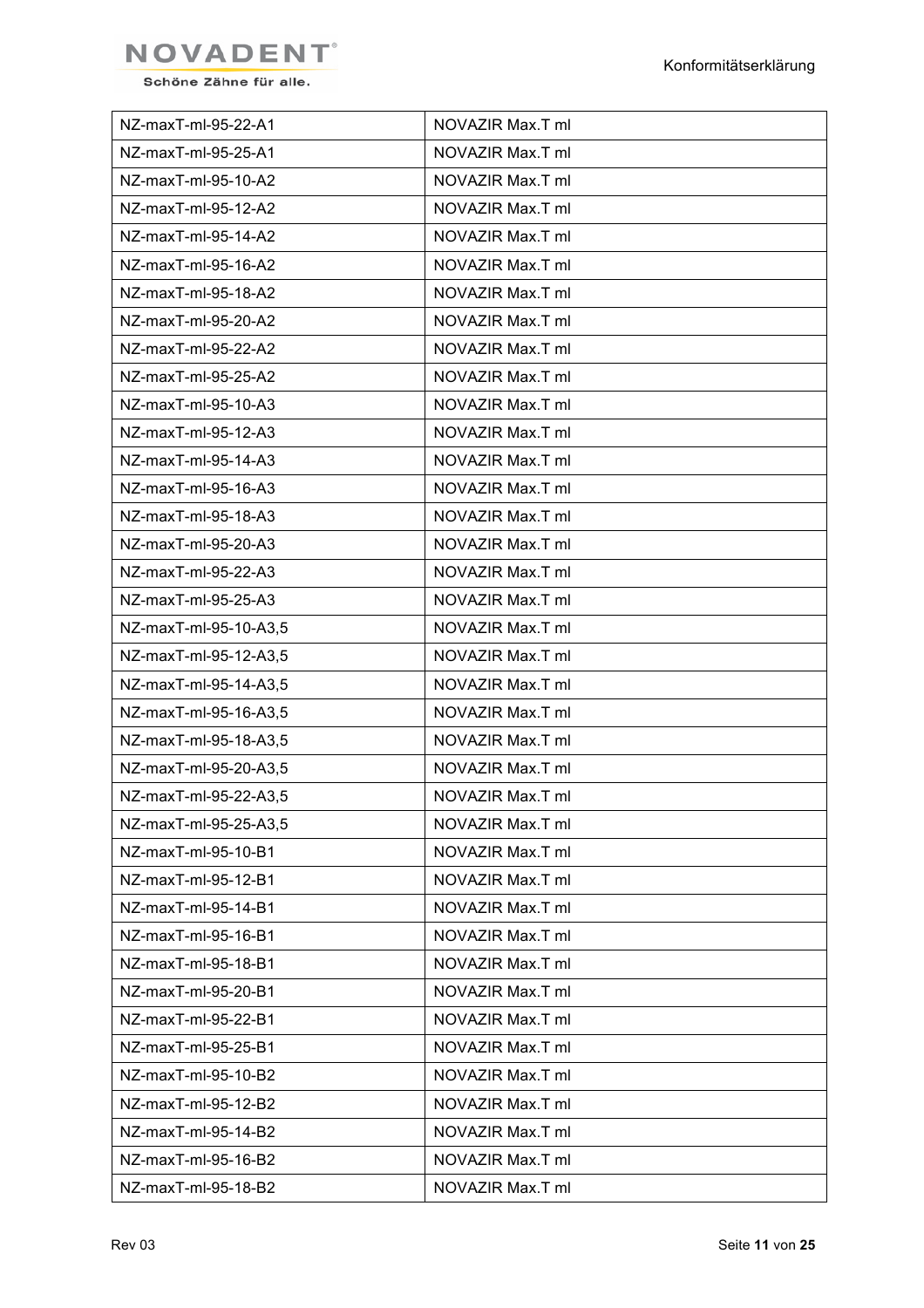

| NZ-maxT-ml-95-22-A1   | NOVAZIR Max.T ml |
|-----------------------|------------------|
| NZ-maxT-ml-95-25-A1   | NOVAZIR Max.T ml |
| NZ-maxT-ml-95-10-A2   | NOVAZIR Max.T ml |
| NZ-maxT-ml-95-12-A2   | NOVAZIR Max.T ml |
| NZ-maxT-ml-95-14-A2   | NOVAZIR Max.T ml |
| NZ-maxT-ml-95-16-A2   | NOVAZIR Max.T ml |
| NZ-maxT-ml-95-18-A2   | NOVAZIR Max.T ml |
| NZ-maxT-ml-95-20-A2   | NOVAZIR Max.T ml |
| NZ-maxT-ml-95-22-A2   | NOVAZIR Max.T ml |
| NZ-maxT-ml-95-25-A2   | NOVAZIR Max.T ml |
| NZ-maxT-ml-95-10-A3   | NOVAZIR Max.T ml |
| NZ-maxT-ml-95-12-A3   | NOVAZIR Max.T ml |
| NZ-maxT-ml-95-14-A3   | NOVAZIR Max.T ml |
| NZ-maxT-ml-95-16-A3   | NOVAZIR Max.T ml |
| NZ-maxT-ml-95-18-A3   | NOVAZIR Max.T ml |
| NZ-maxT-ml-95-20-A3   | NOVAZIR Max.T ml |
| NZ-maxT-ml-95-22-A3   | NOVAZIR Max.T ml |
| NZ-maxT-ml-95-25-A3   | NOVAZIR Max.T ml |
| NZ-maxT-ml-95-10-A3,5 | NOVAZIR Max.T ml |
| NZ-maxT-ml-95-12-A3,5 | NOVAZIR Max.T ml |
| NZ-maxT-ml-95-14-A3,5 | NOVAZIR Max.T ml |
| NZ-maxT-ml-95-16-A3,5 | NOVAZIR Max.T ml |
| NZ-maxT-ml-95-18-A3,5 | NOVAZIR Max.T ml |
| NZ-maxT-ml-95-20-A3,5 | NOVAZIR Max.T ml |
| NZ-maxT-ml-95-22-A3,5 | NOVAZIR Max.T ml |
| NZ-maxT-ml-95-25-A3,5 | NOVAZIR Max.T ml |
| NZ-maxT-ml-95-10-B1   | NOVAZIR Max.T ml |
| NZ-maxT-ml-95-12-B1   | NOVAZIR Max.T ml |
| NZ-maxT-ml-95-14-B1   | NOVAZIR Max.T ml |
| NZ-maxT-ml-95-16-B1   | NOVAZIR Max.T ml |
| NZ-maxT-ml-95-18-B1   | NOVAZIR Max.T ml |
| NZ-maxT-ml-95-20-B1   | NOVAZIR Max.T ml |
| NZ-maxT-ml-95-22-B1   | NOVAZIR Max.T ml |
| NZ-maxT-ml-95-25-B1   | NOVAZIR Max.T ml |
| NZ-maxT-ml-95-10-B2   | NOVAZIR Max.T ml |
| NZ-maxT-ml-95-12-B2   | NOVAZIR Max.T ml |
| NZ-maxT-ml-95-14-B2   | NOVAZIR Max.T ml |
| NZ-maxT-ml-95-16-B2   | NOVAZIR Max.T ml |
| NZ-maxT-ml-95-18-B2   | NOVAZIR Max.T ml |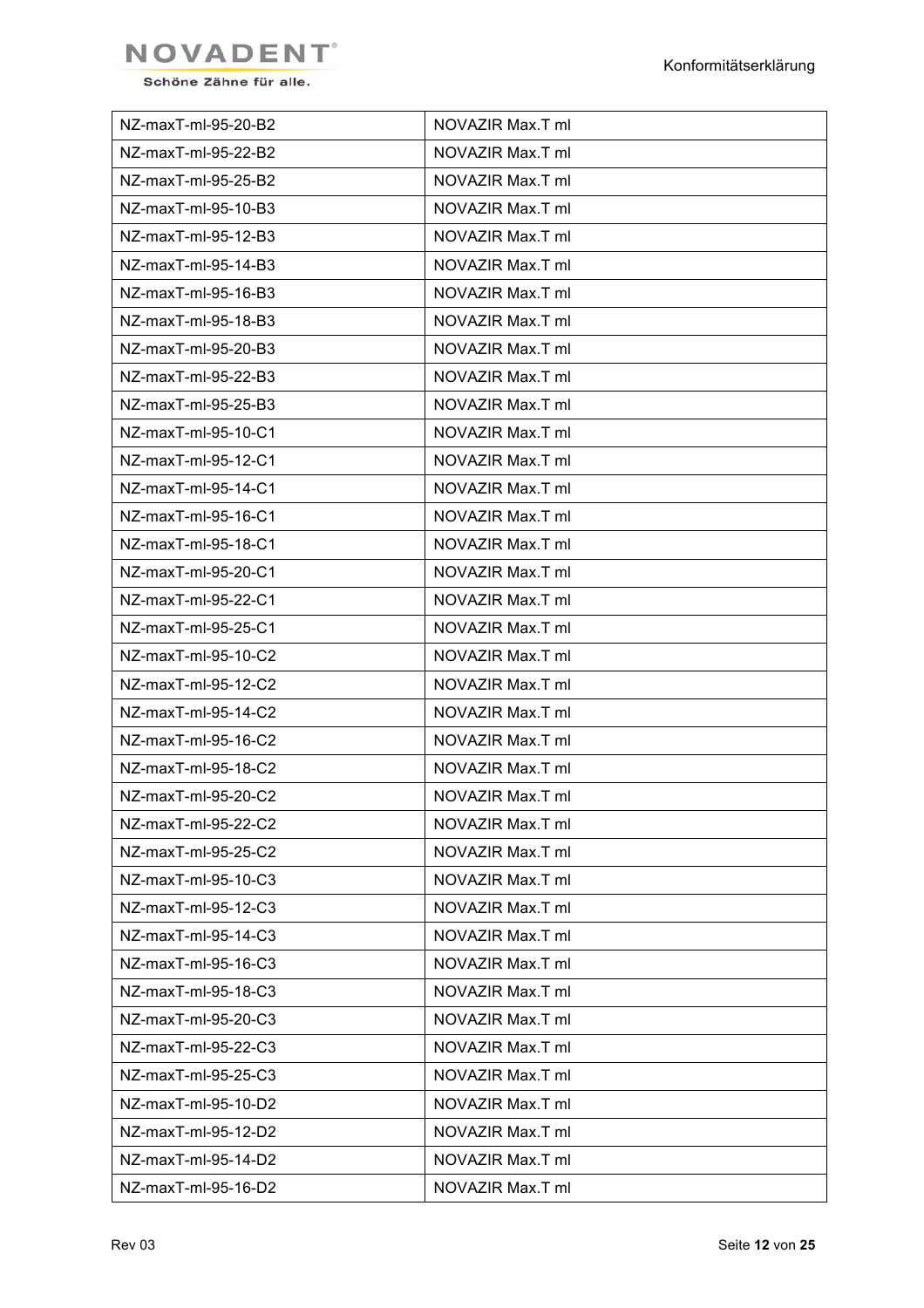

| NZ-maxT-ml-95-20-B2 | NOVAZIR Max.T ml |
|---------------------|------------------|
| NZ-maxT-ml-95-22-B2 | NOVAZIR Max.T ml |
| NZ-maxT-ml-95-25-B2 | NOVAZIR Max.T ml |
| NZ-maxT-ml-95-10-B3 | NOVAZIR Max.T ml |
| NZ-maxT-ml-95-12-B3 | NOVAZIR Max.T ml |
| NZ-maxT-ml-95-14-B3 | NOVAZIR Max.T ml |
| NZ-maxT-ml-95-16-B3 | NOVAZIR Max.T ml |
| NZ-maxT-ml-95-18-B3 | NOVAZIR Max.T ml |
| NZ-maxT-ml-95-20-B3 | NOVAZIR Max.T ml |
| NZ-maxT-ml-95-22-B3 | NOVAZIR Max.T ml |
| NZ-maxT-ml-95-25-B3 | NOVAZIR Max.T ml |
| NZ-maxT-ml-95-10-C1 | NOVAZIR Max.T ml |
| NZ-maxT-ml-95-12-C1 | NOVAZIR Max.T ml |
| NZ-maxT-ml-95-14-C1 | NOVAZIR Max.T ml |
| NZ-maxT-ml-95-16-C1 | NOVAZIR Max.T ml |
| NZ-maxT-ml-95-18-C1 | NOVAZIR Max.T ml |
| NZ-maxT-ml-95-20-C1 | NOVAZIR Max.T ml |
| NZ-maxT-ml-95-22-C1 | NOVAZIR Max.T ml |
| NZ-maxT-ml-95-25-C1 | NOVAZIR Max.T ml |
| NZ-maxT-ml-95-10-C2 | NOVAZIR Max.T ml |
| NZ-maxT-ml-95-12-C2 | NOVAZIR Max.T ml |
| NZ-maxT-ml-95-14-C2 | NOVAZIR Max.T ml |
| NZ-maxT-ml-95-16-C2 | NOVAZIR Max.T ml |
| NZ-maxT-ml-95-18-C2 | NOVAZIR Max.T ml |
| NZ-maxT-ml-95-20-C2 | NOVAZIR Max.T ml |
| NZ-maxT-ml-95-22-C2 | NOVAZIR Max.T ml |
| NZ-maxT-ml-95-25-C2 | NOVAZIR Max.T ml |
| NZ-maxT-ml-95-10-C3 | NOVAZIR Max.T ml |
| NZ-maxT-ml-95-12-C3 | NOVAZIR Max.T ml |
| NZ-maxT-ml-95-14-C3 | NOVAZIR Max.T ml |
| NZ-maxT-ml-95-16-C3 | NOVAZIR Max.T ml |
| NZ-maxT-ml-95-18-C3 | NOVAZIR Max.T ml |
| NZ-maxT-ml-95-20-C3 | NOVAZIR Max.T ml |
| NZ-maxT-ml-95-22-C3 | NOVAZIR Max.T ml |
| NZ-maxT-ml-95-25-C3 | NOVAZIR Max.T ml |
| NZ-maxT-ml-95-10-D2 | NOVAZIR Max.T ml |
| NZ-maxT-ml-95-12-D2 | NOVAZIR Max.T ml |
| NZ-maxT-ml-95-14-D2 | NOVAZIR Max.T ml |
| NZ-maxT-ml-95-16-D2 | NOVAZIR Max.T ml |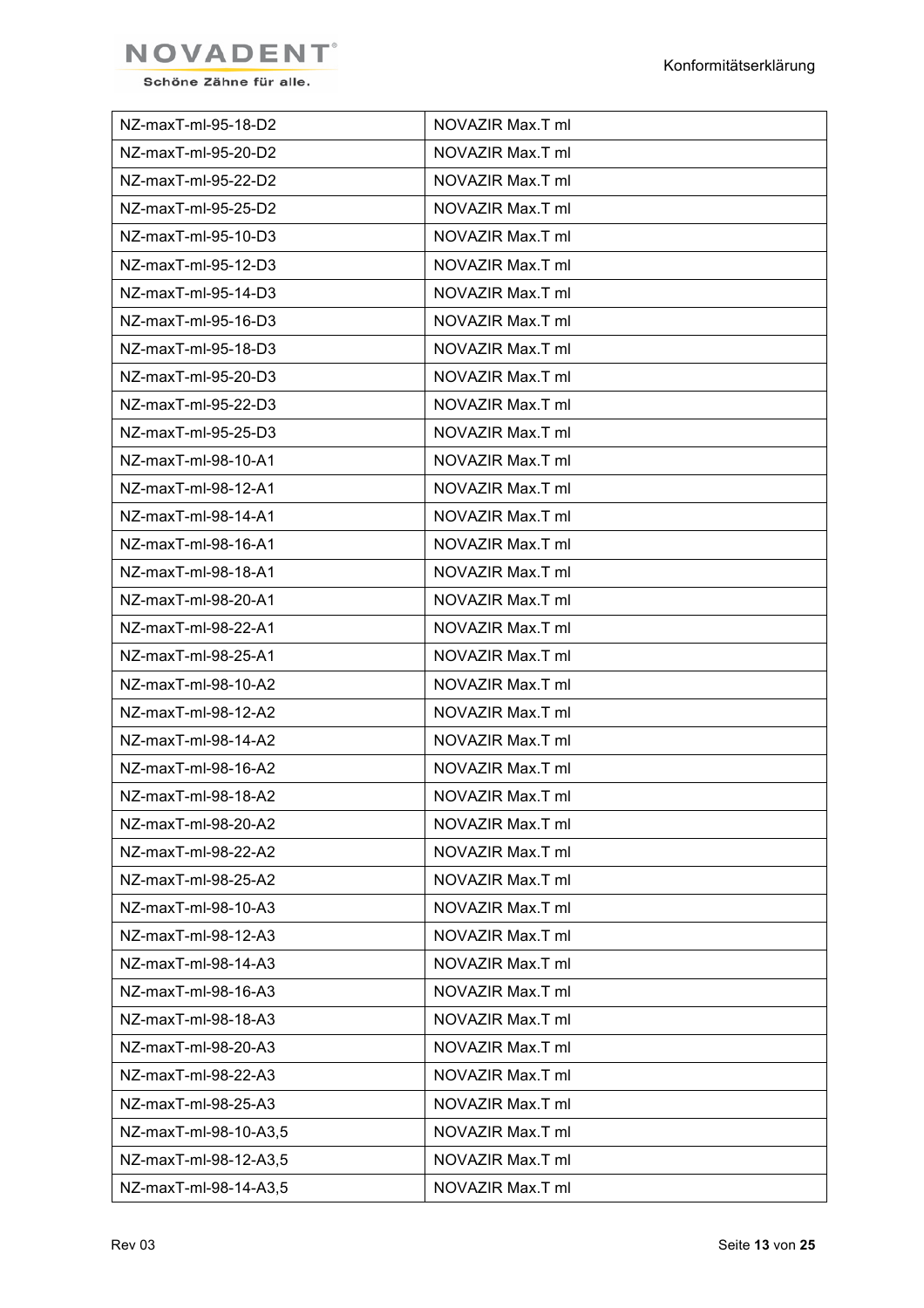

| NZ-maxT-ml-95-18-D2   | NOVAZIR Max.T ml |
|-----------------------|------------------|
| NZ-maxT-ml-95-20-D2   | NOVAZIR Max.T ml |
| NZ-maxT-ml-95-22-D2   | NOVAZIR Max.T ml |
| NZ-maxT-ml-95-25-D2   | NOVAZIR Max.T ml |
| NZ-maxT-ml-95-10-D3   | NOVAZIR Max.T ml |
| NZ-maxT-ml-95-12-D3   | NOVAZIR Max.T ml |
| NZ-maxT-ml-95-14-D3   | NOVAZIR Max.T ml |
| NZ-maxT-ml-95-16-D3   | NOVAZIR Max.T ml |
| NZ-maxT-ml-95-18-D3   | NOVAZIR Max.T ml |
| NZ-maxT-ml-95-20-D3   | NOVAZIR Max.T ml |
| NZ-maxT-ml-95-22-D3   | NOVAZIR Max.T ml |
| NZ-maxT-ml-95-25-D3   | NOVAZIR Max.T ml |
| NZ-maxT-ml-98-10-A1   | NOVAZIR Max.T ml |
| NZ-maxT-ml-98-12-A1   | NOVAZIR Max.T ml |
| NZ-maxT-ml-98-14-A1   | NOVAZIR Max.T ml |
| NZ-maxT-ml-98-16-A1   | NOVAZIR Max.T ml |
| NZ-maxT-ml-98-18-A1   | NOVAZIR Max.T ml |
| NZ-maxT-ml-98-20-A1   | NOVAZIR Max.T ml |
| NZ-maxT-ml-98-22-A1   | NOVAZIR Max.T ml |
| NZ-maxT-ml-98-25-A1   | NOVAZIR Max.T ml |
| NZ-maxT-ml-98-10-A2   | NOVAZIR Max.T ml |
| NZ-maxT-ml-98-12-A2   | NOVAZIR Max.T ml |
| NZ-maxT-ml-98-14-A2   | NOVAZIR Max.T ml |
| NZ-maxT-ml-98-16-A2   | NOVAZIR Max.T ml |
| NZ-maxT-ml-98-18-A2   | NOVAZIR Max.T ml |
| NZ-maxT-ml-98-20-A2   | NOVAZIR Max.T ml |
| NZ-maxT-ml-98-22-A2   | NOVAZIR Max.T ml |
| NZ-maxT-ml-98-25-A2   | NOVAZIR Max.T ml |
| NZ-maxT-ml-98-10-A3   | NOVAZIR Max.T ml |
| NZ-maxT-ml-98-12-A3   | NOVAZIR Max.T ml |
| NZ-maxT-ml-98-14-A3   | NOVAZIR Max.T ml |
| NZ-maxT-ml-98-16-A3   | NOVAZIR Max.T ml |
| NZ-maxT-ml-98-18-A3   | NOVAZIR Max.T ml |
| NZ-maxT-ml-98-20-A3   | NOVAZIR Max.T ml |
| NZ-maxT-ml-98-22-A3   | NOVAZIR Max.T ml |
| NZ-maxT-ml-98-25-A3   | NOVAZIR Max.T ml |
| NZ-maxT-ml-98-10-A3,5 | NOVAZIR Max.T ml |
| NZ-maxT-ml-98-12-A3,5 | NOVAZIR Max.T ml |
| NZ-maxT-ml-98-14-A3,5 | NOVAZIR Max.T ml |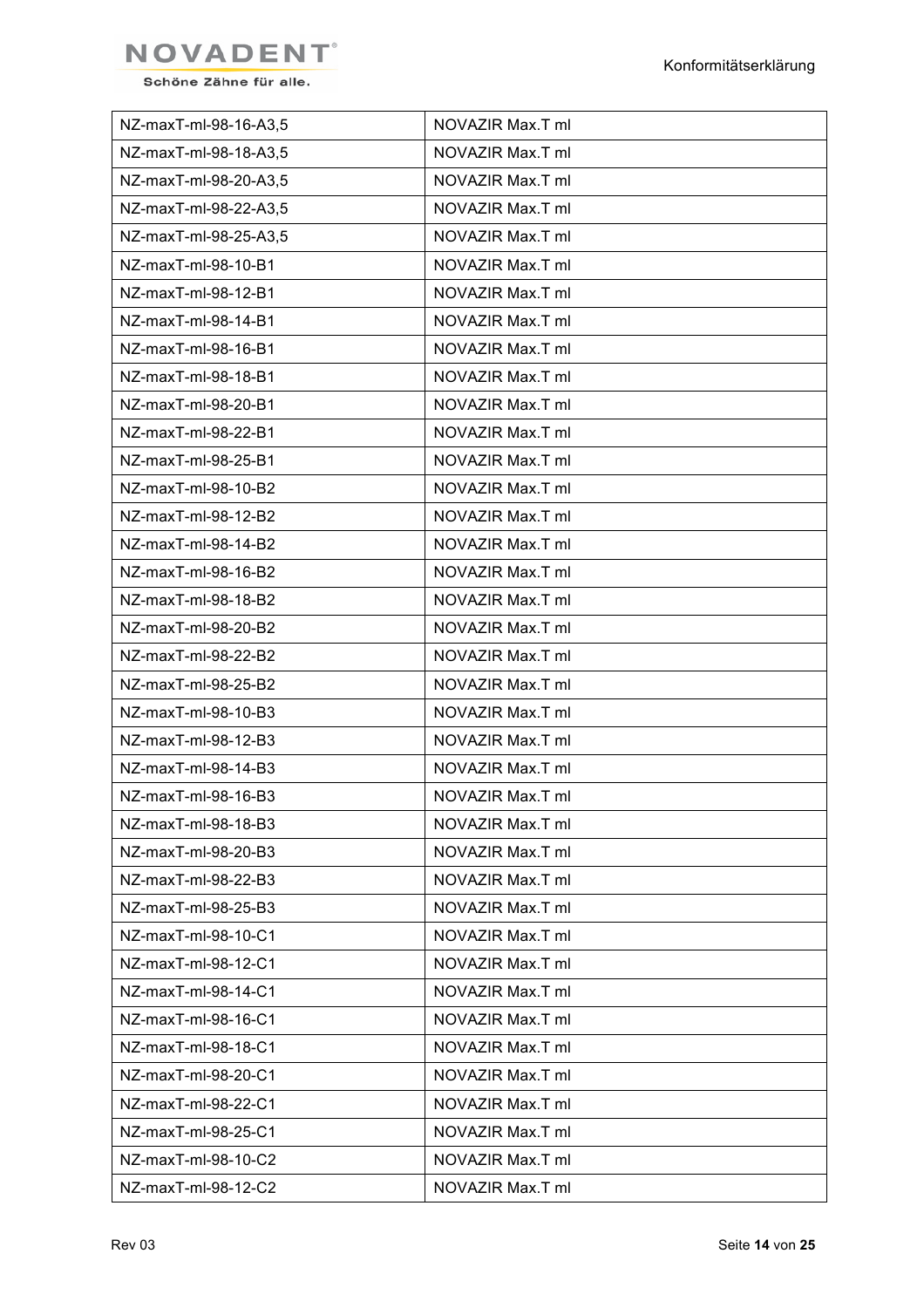

| NZ-maxT-ml-98-16-A3,5 | NOVAZIR Max.T ml |
|-----------------------|------------------|
| NZ-maxT-ml-98-18-A3,5 | NOVAZIR Max.T ml |
| NZ-maxT-ml-98-20-A3,5 | NOVAZIR Max.T ml |
| NZ-maxT-ml-98-22-A3,5 | NOVAZIR Max.T ml |
| NZ-maxT-ml-98-25-A3,5 | NOVAZIR Max.T ml |
| NZ-maxT-ml-98-10-B1   | NOVAZIR Max.T ml |
| NZ-maxT-ml-98-12-B1   | NOVAZIR Max.T ml |
| NZ-maxT-ml-98-14-B1   | NOVAZIR Max.T ml |
| NZ-maxT-ml-98-16-B1   | NOVAZIR Max.T ml |
| NZ-maxT-ml-98-18-B1   | NOVAZIR Max.T ml |
| NZ-maxT-ml-98-20-B1   | NOVAZIR Max.T ml |
| NZ-maxT-ml-98-22-B1   | NOVAZIR Max.T ml |
| NZ-maxT-ml-98-25-B1   | NOVAZIR Max.T ml |
| NZ-maxT-ml-98-10-B2   | NOVAZIR Max.T ml |
| NZ-maxT-ml-98-12-B2   | NOVAZIR Max.T ml |
| NZ-maxT-ml-98-14-B2   | NOVAZIR Max.T ml |
| NZ-maxT-ml-98-16-B2   | NOVAZIR Max.T ml |
| NZ-maxT-ml-98-18-B2   | NOVAZIR Max.T ml |
| NZ-maxT-ml-98-20-B2   | NOVAZIR Max.T ml |
| NZ-maxT-ml-98-22-B2   | NOVAZIR Max.T ml |
| NZ-maxT-ml-98-25-B2   | NOVAZIR Max.T ml |
| NZ-maxT-ml-98-10-B3   | NOVAZIR Max.T ml |
| NZ-maxT-ml-98-12-B3   | NOVAZIR Max.T ml |
| NZ-maxT-ml-98-14-B3   | NOVAZIR Max.T ml |
| NZ-maxT-ml-98-16-B3   | NOVAZIR Max.T ml |
| NZ-maxT-ml-98-18-B3   | NOVAZIR Max.T ml |
| NZ-maxT-ml-98-20-B3   | NOVAZIR Max.T ml |
| NZ-maxT-ml-98-22-B3   | NOVAZIR Max.T ml |
| NZ-maxT-ml-98-25-B3   | NOVAZIR Max.T ml |
| NZ-maxT-ml-98-10-C1   | NOVAZIR Max.T ml |
| NZ-maxT-ml-98-12-C1   | NOVAZIR Max.T ml |
| NZ-maxT-ml-98-14-C1   | NOVAZIR Max.T ml |
| NZ-maxT-ml-98-16-C1   | NOVAZIR Max.T ml |
| NZ-maxT-ml-98-18-C1   | NOVAZIR Max.T ml |
| NZ-maxT-ml-98-20-C1   | NOVAZIR Max.T ml |
| NZ-maxT-ml-98-22-C1   | NOVAZIR Max.T ml |
| NZ-maxT-ml-98-25-C1   | NOVAZIR Max.T ml |
| NZ-maxT-ml-98-10-C2   | NOVAZIR Max.T ml |
| NZ-maxT-ml-98-12-C2   | NOVAZIR Max.T ml |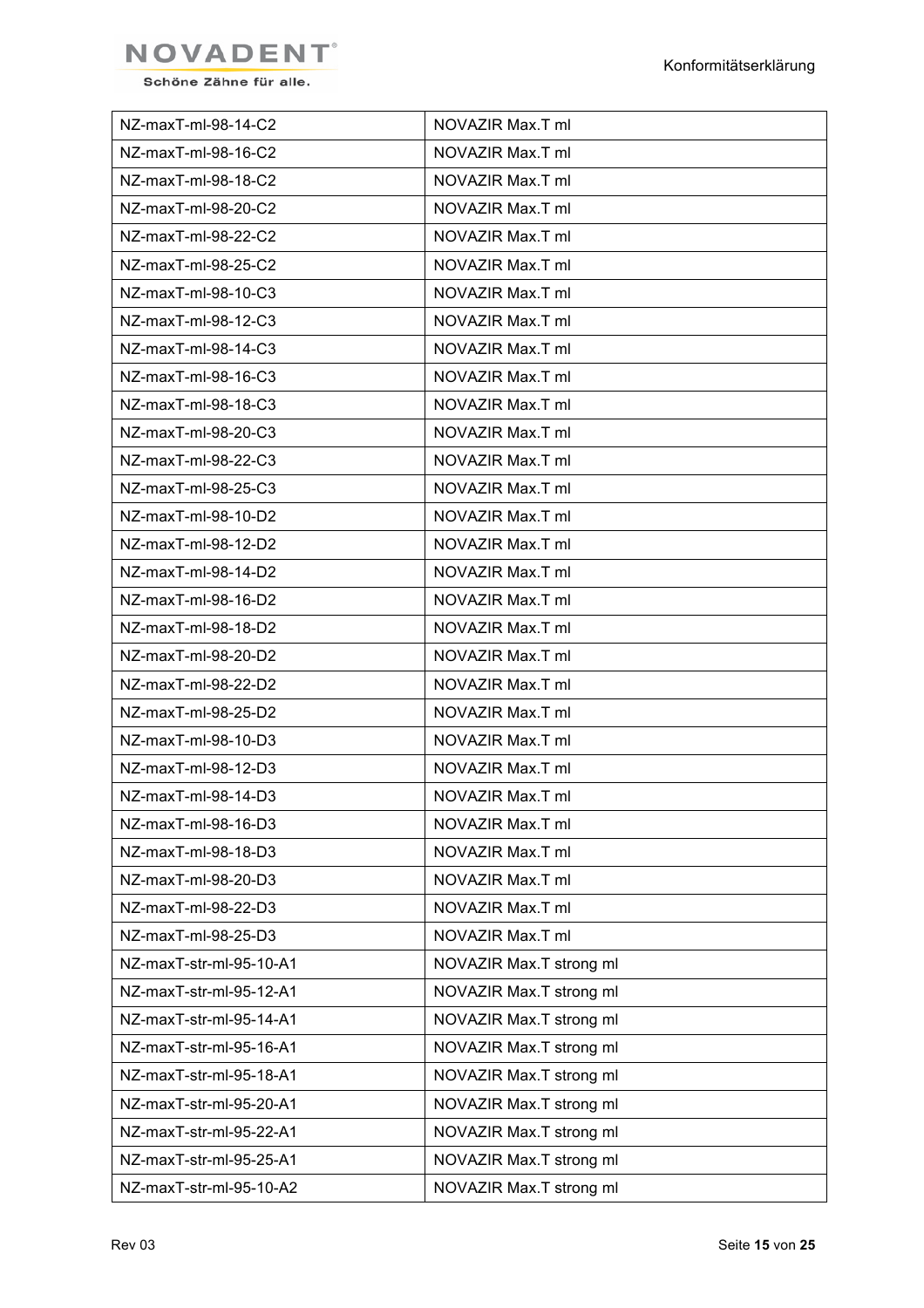

| NZ-maxT-ml-98-14-C2     | NOVAZIR Max.T ml        |
|-------------------------|-------------------------|
| NZ-maxT-ml-98-16-C2     | NOVAZIR Max.T ml        |
| NZ-maxT-ml-98-18-C2     | NOVAZIR Max.T ml        |
| NZ-maxT-ml-98-20-C2     | NOVAZIR Max.T ml        |
| NZ-maxT-ml-98-22-C2     | NOVAZIR Max.T ml        |
| NZ-maxT-ml-98-25-C2     | NOVAZIR Max.T ml        |
| NZ-maxT-ml-98-10-C3     | NOVAZIR Max.T ml        |
| NZ-maxT-ml-98-12-C3     | NOVAZIR Max.T ml        |
| NZ-maxT-ml-98-14-C3     | NOVAZIR Max.T ml        |
| NZ-maxT-ml-98-16-C3     | NOVAZIR Max.T ml        |
| NZ-maxT-ml-98-18-C3     | NOVAZIR Max.T ml        |
| NZ-maxT-ml-98-20-C3     | NOVAZIR Max.T ml        |
| NZ-maxT-ml-98-22-C3     | NOVAZIR Max.T ml        |
| NZ-maxT-ml-98-25-C3     | NOVAZIR Max.T ml        |
| NZ-maxT-ml-98-10-D2     | NOVAZIR Max.T ml        |
| NZ-maxT-ml-98-12-D2     | NOVAZIR Max.T ml        |
| NZ-maxT-ml-98-14-D2     | NOVAZIR Max.T ml        |
| NZ-maxT-ml-98-16-D2     | NOVAZIR Max.T ml        |
| NZ-maxT-ml-98-18-D2     | NOVAZIR Max.T ml        |
| NZ-maxT-ml-98-20-D2     | NOVAZIR Max.T ml        |
| NZ-maxT-ml-98-22-D2     | NOVAZIR Max.T ml        |
| NZ-maxT-ml-98-25-D2     | NOVAZIR Max.T ml        |
| NZ-maxT-ml-98-10-D3     | NOVAZIR Max.T ml        |
| NZ-maxT-ml-98-12-D3     | NOVAZIR Max.T ml        |
| NZ-maxT-ml-98-14-D3     | NOVAZIR Max.T ml        |
| NZ-maxT-ml-98-16-D3     | NOVAZIR Max.T ml        |
| NZ-maxT-ml-98-18-D3     | NOVAZIR Max.T ml        |
| NZ-maxT-ml-98-20-D3     | NOVAZIR Max.T ml        |
| NZ-maxT-ml-98-22-D3     | NOVAZIR Max.T ml        |
| NZ-maxT-ml-98-25-D3     | NOVAZIR Max.T ml        |
| NZ-maxT-str-ml-95-10-A1 | NOVAZIR Max.T strong ml |
| NZ-maxT-str-ml-95-12-A1 | NOVAZIR Max.T strong ml |
| NZ-maxT-str-ml-95-14-A1 | NOVAZIR Max.T strong ml |
| NZ-maxT-str-ml-95-16-A1 | NOVAZIR Max.T strong ml |
| NZ-maxT-str-ml-95-18-A1 | NOVAZIR Max.T strong ml |
| NZ-maxT-str-ml-95-20-A1 | NOVAZIR Max.T strong ml |
| NZ-maxT-str-ml-95-22-A1 | NOVAZIR Max.T strong ml |
| NZ-maxT-str-ml-95-25-A1 | NOVAZIR Max.T strong ml |
| NZ-maxT-str-ml-95-10-A2 | NOVAZIR Max.T strong ml |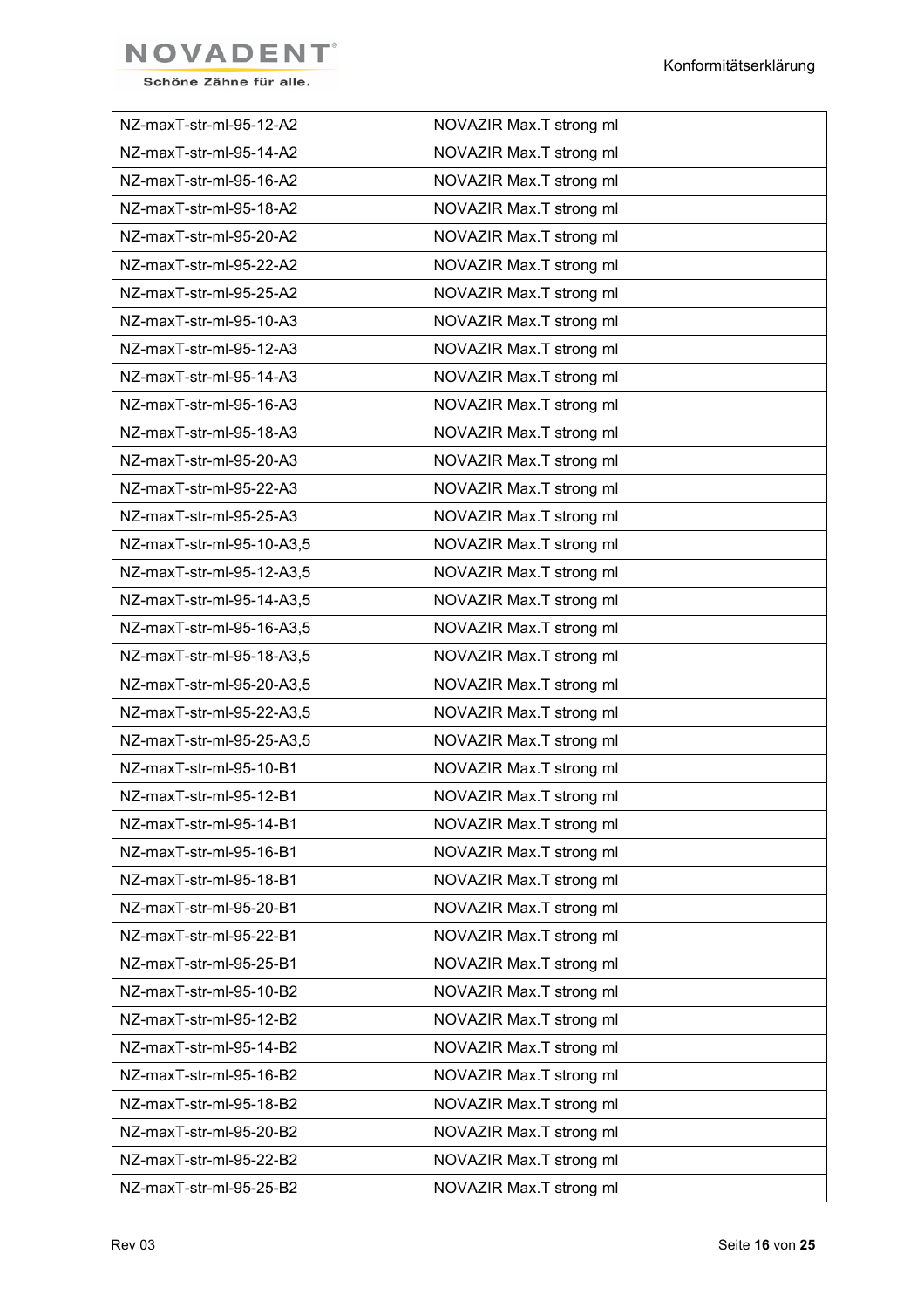

| NZ-maxT-str-ml-95-12-A2   | NOVAZIR Max.T strong ml |
|---------------------------|-------------------------|
| NZ-maxT-str-ml-95-14-A2   | NOVAZIR Max.T strong ml |
| NZ-maxT-str-ml-95-16-A2   | NOVAZIR Max.T strong ml |
| NZ-maxT-str-ml-95-18-A2   | NOVAZIR Max.T strong ml |
| NZ-maxT-str-ml-95-20-A2   | NOVAZIR Max.T strong ml |
| NZ-maxT-str-ml-95-22-A2   | NOVAZIR Max.T strong ml |
| NZ-maxT-str-ml-95-25-A2   | NOVAZIR Max.T strong ml |
| NZ-maxT-str-ml-95-10-A3   | NOVAZIR Max.T strong ml |
| NZ-maxT-str-ml-95-12-A3   | NOVAZIR Max.T strong ml |
| NZ-maxT-str-ml-95-14-A3   | NOVAZIR Max.T strong ml |
| NZ-maxT-str-ml-95-16-A3   | NOVAZIR Max.T strong ml |
| NZ-maxT-str-ml-95-18-A3   | NOVAZIR Max.T strong ml |
| NZ-maxT-str-ml-95-20-A3   | NOVAZIR Max.T strong ml |
| NZ-maxT-str-ml-95-22-A3   | NOVAZIR Max.T strong ml |
| NZ-maxT-str-ml-95-25-A3   | NOVAZIR Max.T strong ml |
| NZ-maxT-str-ml-95-10-A3,5 | NOVAZIR Max.T strong ml |
| NZ-maxT-str-ml-95-12-A3,5 | NOVAZIR Max.T strong ml |
| NZ-maxT-str-ml-95-14-A3,5 | NOVAZIR Max.T strong ml |
| NZ-maxT-str-ml-95-16-A3,5 | NOVAZIR Max.T strong ml |
| NZ-maxT-str-ml-95-18-A3,5 | NOVAZIR Max.T strong ml |
| NZ-maxT-str-ml-95-20-A3,5 | NOVAZIR Max.T strong ml |
| NZ-maxT-str-ml-95-22-A3,5 | NOVAZIR Max.T strong ml |
| NZ-maxT-str-ml-95-25-A3,5 | NOVAZIR Max.T strong ml |
| NZ-maxT-str-ml-95-10-B1   | NOVAZIR Max.T strong ml |
| NZ-maxT-str-ml-95-12-B1   | NOVAZIR Max.T strong ml |
| NZ-maxT-str-ml-95-14-B1   | NOVAZIR Max.T strong ml |
| NZ-maxT-str-ml-95-16-B1   | NOVAZIR Max.T strong ml |
| NZ-maxT-str-ml-95-18-B1   | NOVAZIR Max.T strong ml |
| NZ-maxT-str-ml-95-20-B1   | NOVAZIR Max.T strong ml |
| NZ-maxT-str-ml-95-22-B1   | NOVAZIR Max.T strong ml |
| NZ-maxT-str-ml-95-25-B1   | NOVAZIR Max.T strong ml |
| NZ-maxT-str-ml-95-10-B2   | NOVAZIR Max.T strong ml |
| NZ-maxT-str-ml-95-12-B2   | NOVAZIR Max.T strong ml |
| NZ-maxT-str-ml-95-14-B2   | NOVAZIR Max.T strong ml |
| NZ-maxT-str-ml-95-16-B2   | NOVAZIR Max.T strong ml |
| NZ-maxT-str-ml-95-18-B2   | NOVAZIR Max.T strong ml |
| NZ-maxT-str-ml-95-20-B2   | NOVAZIR Max.T strong ml |
| NZ-maxT-str-ml-95-22-B2   | NOVAZIR Max.T strong ml |
| NZ-maxT-str-ml-95-25-B2   | NOVAZIR Max.T strong ml |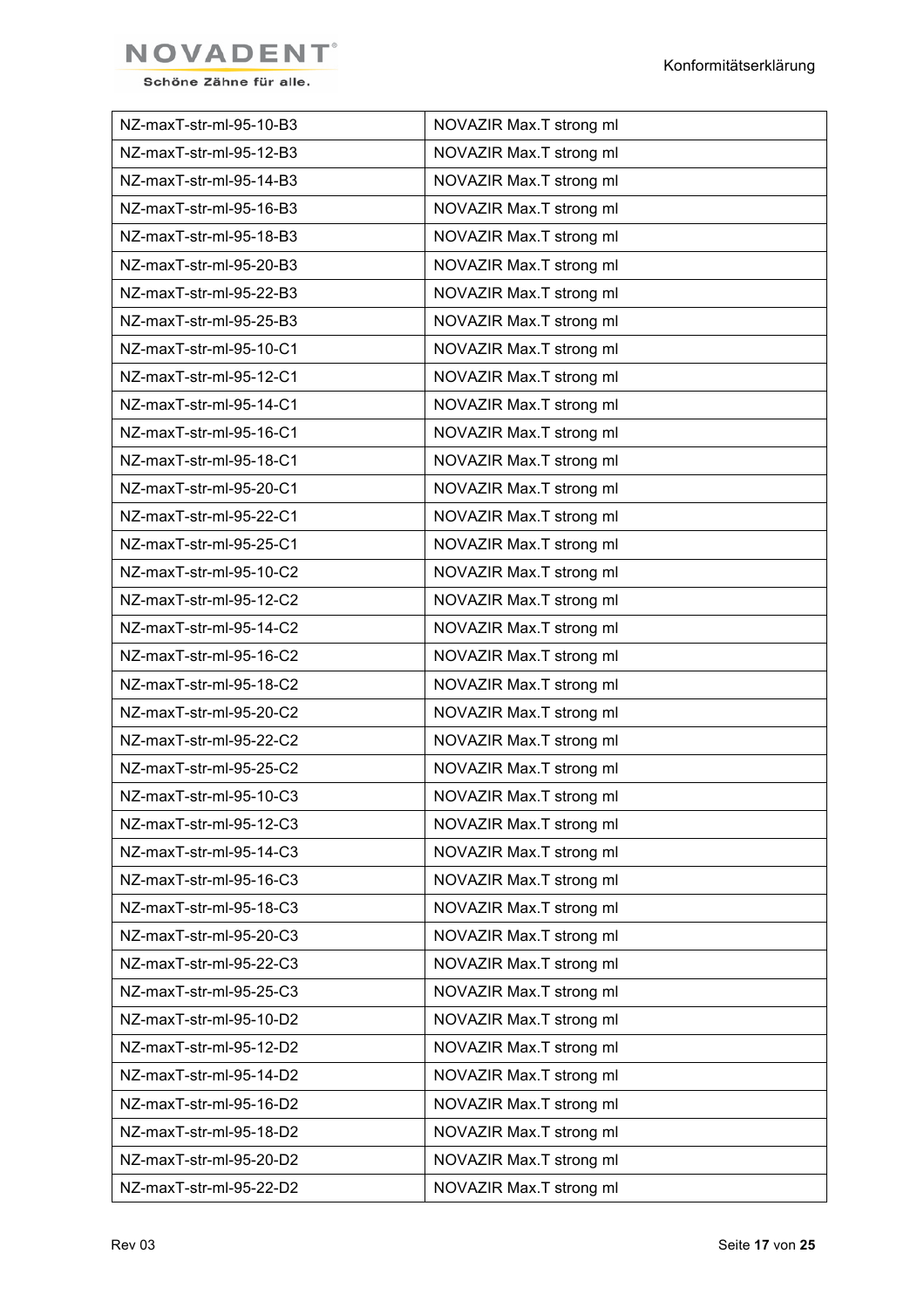

| NZ-maxT-str-ml-95-10-B3 | NOVAZIR Max.T strong ml |
|-------------------------|-------------------------|
| NZ-maxT-str-ml-95-12-B3 | NOVAZIR Max.T strong ml |
| NZ-maxT-str-ml-95-14-B3 | NOVAZIR Max.T strong ml |
| NZ-maxT-str-ml-95-16-B3 | NOVAZIR Max.T strong ml |
| NZ-maxT-str-ml-95-18-B3 | NOVAZIR Max.T strong ml |
| NZ-maxT-str-ml-95-20-B3 | NOVAZIR Max.T strong ml |
| NZ-maxT-str-ml-95-22-B3 | NOVAZIR Max.T strong ml |
| NZ-maxT-str-ml-95-25-B3 | NOVAZIR Max.T strong ml |
| NZ-maxT-str-ml-95-10-C1 | NOVAZIR Max.T strong ml |
| NZ-maxT-str-ml-95-12-C1 | NOVAZIR Max.T strong ml |
| NZ-maxT-str-ml-95-14-C1 | NOVAZIR Max.T strong ml |
| NZ-maxT-str-ml-95-16-C1 | NOVAZIR Max.T strong ml |
| NZ-maxT-str-ml-95-18-C1 | NOVAZIR Max.T strong ml |
| NZ-maxT-str-ml-95-20-C1 | NOVAZIR Max.T strong ml |
| NZ-maxT-str-ml-95-22-C1 | NOVAZIR Max.T strong ml |
| NZ-maxT-str-ml-95-25-C1 | NOVAZIR Max.T strong ml |
| NZ-maxT-str-ml-95-10-C2 | NOVAZIR Max.T strong ml |
| NZ-maxT-str-ml-95-12-C2 | NOVAZIR Max.T strong ml |
| NZ-maxT-str-ml-95-14-C2 | NOVAZIR Max.T strong ml |
| NZ-maxT-str-ml-95-16-C2 | NOVAZIR Max.T strong ml |
| NZ-maxT-str-ml-95-18-C2 | NOVAZIR Max.T strong ml |
| NZ-maxT-str-ml-95-20-C2 | NOVAZIR Max.T strong ml |
| NZ-maxT-str-ml-95-22-C2 | NOVAZIR Max.T strong ml |
| NZ-maxT-str-ml-95-25-C2 | NOVAZIR Max.T strong ml |
| NZ-maxT-str-ml-95-10-C3 | NOVAZIR Max.T strong ml |
| NZ-maxT-str-ml-95-12-C3 | NOVAZIR Max.T strong ml |
| NZ-maxT-str-ml-95-14-C3 | NOVAZIR Max.T strong ml |
| NZ-maxT-str-ml-95-16-C3 | NOVAZIR Max.T strong ml |
| NZ-maxT-str-ml-95-18-C3 | NOVAZIR Max.T strong ml |
| NZ-maxT-str-ml-95-20-C3 | NOVAZIR Max.T strong ml |
| NZ-maxT-str-ml-95-22-C3 | NOVAZIR Max.T strong ml |
| NZ-maxT-str-ml-95-25-C3 | NOVAZIR Max.T strong ml |
| NZ-maxT-str-ml-95-10-D2 | NOVAZIR Max.T strong ml |
| NZ-maxT-str-ml-95-12-D2 | NOVAZIR Max.T strong ml |
| NZ-maxT-str-ml-95-14-D2 | NOVAZIR Max.T strong ml |
| NZ-maxT-str-ml-95-16-D2 | NOVAZIR Max.T strong ml |
| NZ-maxT-str-ml-95-18-D2 | NOVAZIR Max.T strong ml |
| NZ-maxT-str-ml-95-20-D2 | NOVAZIR Max.T strong ml |
| NZ-maxT-str-ml-95-22-D2 | NOVAZIR Max.T strong ml |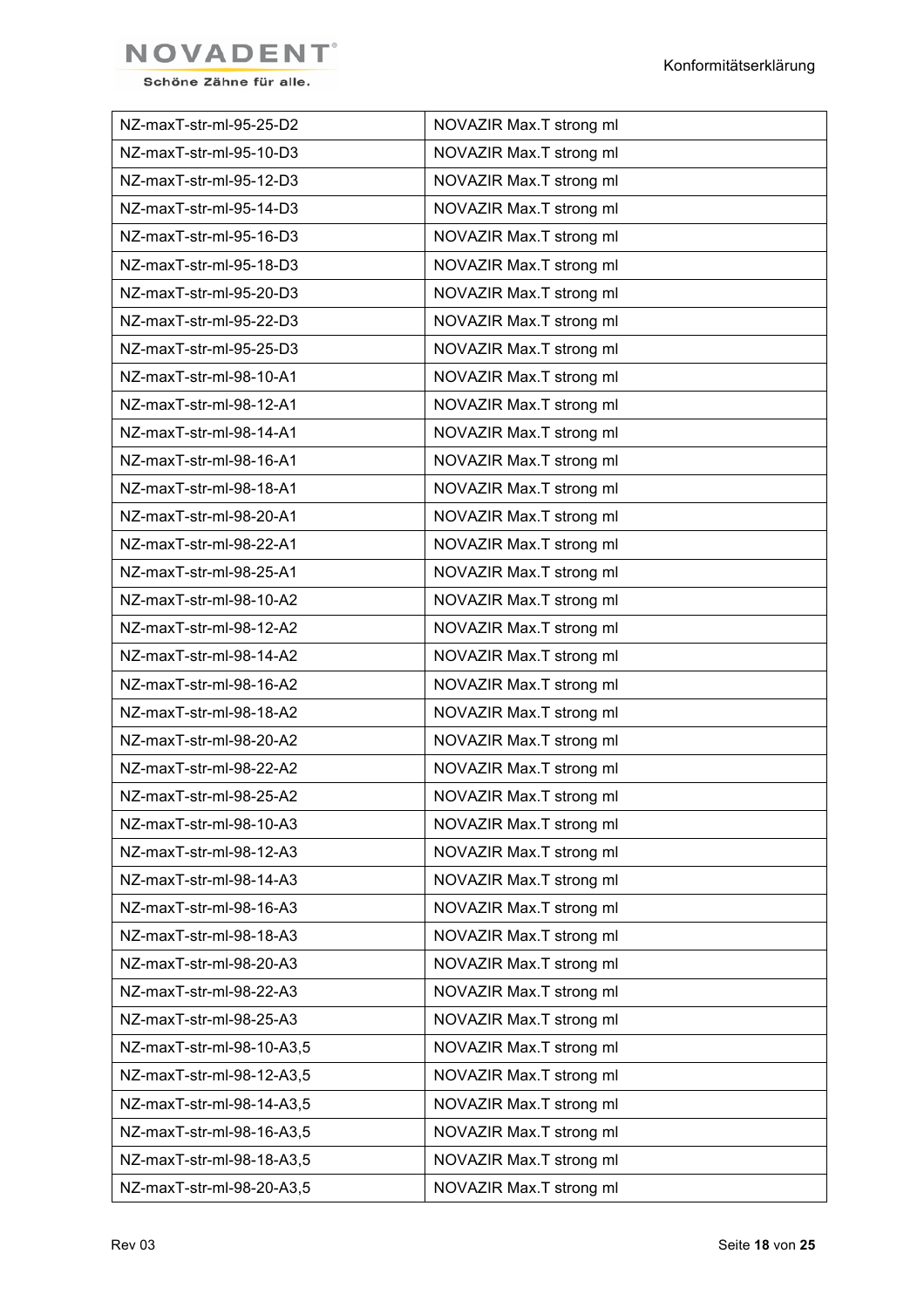

| NZ-maxT-str-ml-95-25-D2   | NOVAZIR Max.T strong ml |
|---------------------------|-------------------------|
| NZ-maxT-str-ml-95-10-D3   | NOVAZIR Max.T strong ml |
| NZ-maxT-str-ml-95-12-D3   | NOVAZIR Max.T strong ml |
| NZ-maxT-str-ml-95-14-D3   | NOVAZIR Max.T strong ml |
| NZ-maxT-str-ml-95-16-D3   | NOVAZIR Max.T strong ml |
| NZ-maxT-str-ml-95-18-D3   | NOVAZIR Max.T strong ml |
| NZ-maxT-str-ml-95-20-D3   | NOVAZIR Max.T strong ml |
| NZ-maxT-str-ml-95-22-D3   | NOVAZIR Max.T strong ml |
| NZ-maxT-str-ml-95-25-D3   | NOVAZIR Max.T strong ml |
| NZ-maxT-str-ml-98-10-A1   | NOVAZIR Max.T strong ml |
| NZ-maxT-str-ml-98-12-A1   | NOVAZIR Max.T strong ml |
| NZ-maxT-str-ml-98-14-A1   | NOVAZIR Max.T strong ml |
| NZ-maxT-str-ml-98-16-A1   | NOVAZIR Max.T strong ml |
| NZ-maxT-str-ml-98-18-A1   | NOVAZIR Max.T strong ml |
| NZ-maxT-str-ml-98-20-A1   | NOVAZIR Max.T strong ml |
| NZ-maxT-str-ml-98-22-A1   | NOVAZIR Max.T strong ml |
| NZ-maxT-str-ml-98-25-A1   | NOVAZIR Max.T strong ml |
| NZ-maxT-str-ml-98-10-A2   | NOVAZIR Max.T strong ml |
| NZ-maxT-str-ml-98-12-A2   | NOVAZIR Max.T strong ml |
| NZ-maxT-str-ml-98-14-A2   | NOVAZIR Max.T strong ml |
| NZ-maxT-str-ml-98-16-A2   | NOVAZIR Max.T strong ml |
| NZ-maxT-str-ml-98-18-A2   | NOVAZIR Max.T strong ml |
| NZ-maxT-str-ml-98-20-A2   | NOVAZIR Max.T strong ml |
| NZ-maxT-str-ml-98-22-A2   | NOVAZIR Max.T strong ml |
| NZ-maxT-str-ml-98-25-A2   | NOVAZIR Max.T strong ml |
| NZ-maxT-str-ml-98-10-A3   | NOVAZIR Max.T strong ml |
| NZ-maxT-str-ml-98-12-A3   | NOVAZIR Max.T strong ml |
| NZ-maxT-str-ml-98-14-A3   | NOVAZIR Max.T strong ml |
| NZ-maxT-str-ml-98-16-A3   | NOVAZIR Max.T strong ml |
| NZ-maxT-str-ml-98-18-A3   | NOVAZIR Max.T strong ml |
| NZ-maxT-str-ml-98-20-A3   | NOVAZIR Max.T strong ml |
| NZ-maxT-str-ml-98-22-A3   | NOVAZIR Max.T strong ml |
| NZ-maxT-str-ml-98-25-A3   | NOVAZIR Max.T strong ml |
| NZ-maxT-str-ml-98-10-A3,5 | NOVAZIR Max.T strong ml |
| NZ-maxT-str-ml-98-12-A3,5 | NOVAZIR Max.T strong ml |
| NZ-maxT-str-ml-98-14-A3,5 | NOVAZIR Max.T strong ml |
| NZ-maxT-str-ml-98-16-A3,5 | NOVAZIR Max.T strong ml |
| NZ-maxT-str-ml-98-18-A3,5 | NOVAZIR Max.T strong ml |
| NZ-maxT-str-ml-98-20-A3,5 | NOVAZIR Max.T strong ml |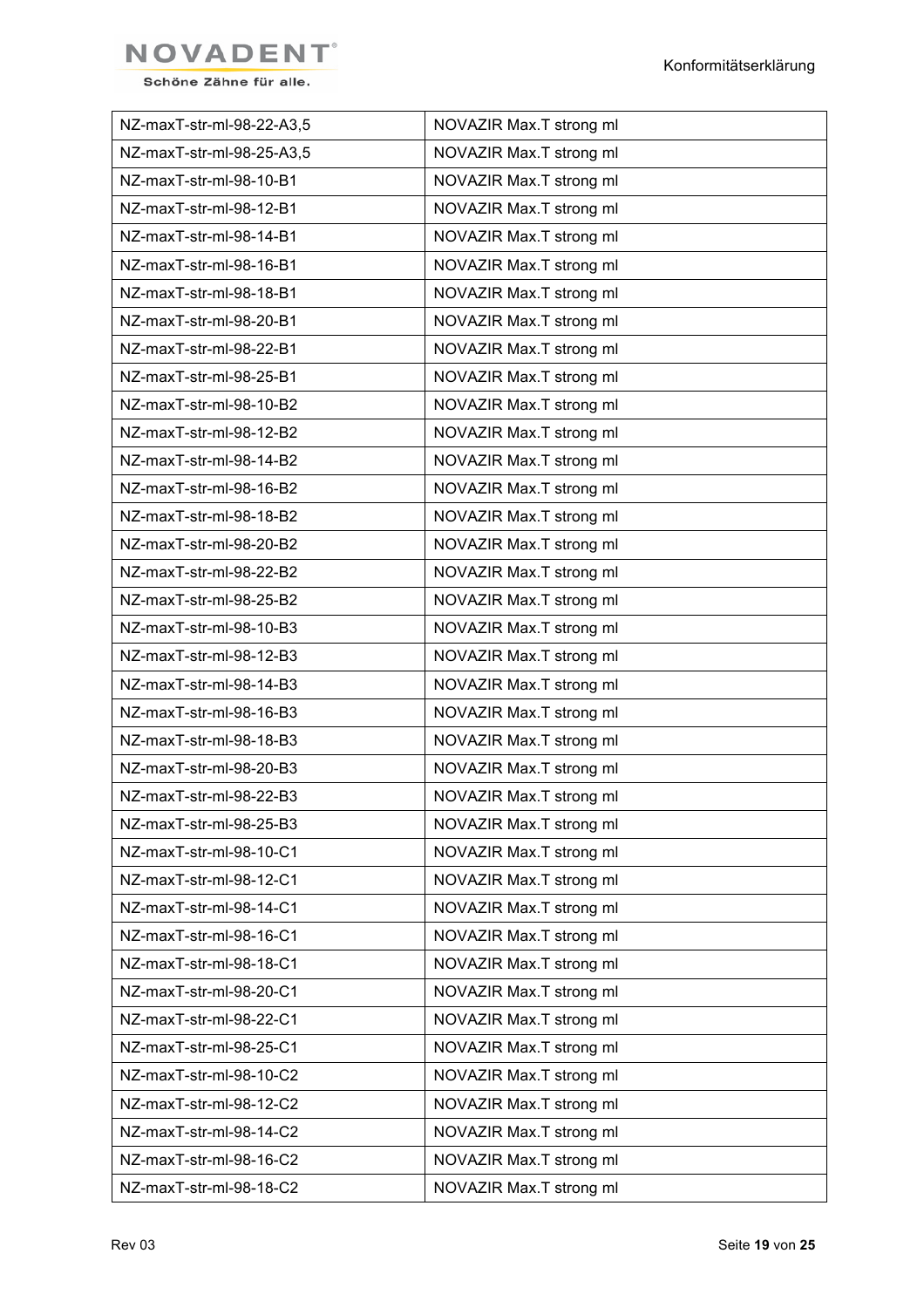

| NZ-maxT-str-ml-98-22-A3,5 | NOVAZIR Max.T strong ml |
|---------------------------|-------------------------|
| NZ-maxT-str-ml-98-25-A3,5 | NOVAZIR Max.T strong ml |
| NZ-maxT-str-ml-98-10-B1   | NOVAZIR Max.T strong ml |
| NZ-maxT-str-ml-98-12-B1   | NOVAZIR Max.T strong ml |
| NZ-maxT-str-ml-98-14-B1   | NOVAZIR Max.T strong ml |
| NZ-maxT-str-ml-98-16-B1   | NOVAZIR Max.T strong ml |
| NZ-maxT-str-ml-98-18-B1   | NOVAZIR Max.T strong ml |
| NZ-maxT-str-ml-98-20-B1   | NOVAZIR Max.T strong ml |
| NZ-maxT-str-ml-98-22-B1   | NOVAZIR Max.T strong ml |
| NZ-maxT-str-ml-98-25-B1   | NOVAZIR Max.T strong ml |
| NZ-maxT-str-ml-98-10-B2   | NOVAZIR Max.T strong ml |
| NZ-maxT-str-ml-98-12-B2   | NOVAZIR Max.T strong ml |
| NZ-maxT-str-ml-98-14-B2   | NOVAZIR Max.T strong ml |
| NZ-maxT-str-ml-98-16-B2   | NOVAZIR Max.T strong ml |
| NZ-maxT-str-ml-98-18-B2   | NOVAZIR Max.T strong ml |
| NZ-maxT-str-ml-98-20-B2   | NOVAZIR Max.T strong ml |
| NZ-maxT-str-ml-98-22-B2   | NOVAZIR Max.T strong ml |
| NZ-maxT-str-ml-98-25-B2   | NOVAZIR Max.T strong ml |
| NZ-maxT-str-ml-98-10-B3   | NOVAZIR Max.T strong ml |
| NZ-maxT-str-ml-98-12-B3   | NOVAZIR Max.T strong ml |
| NZ-maxT-str-ml-98-14-B3   | NOVAZIR Max.T strong ml |
| NZ-maxT-str-ml-98-16-B3   | NOVAZIR Max.T strong ml |
| NZ-maxT-str-ml-98-18-B3   | NOVAZIR Max.T strong ml |
| NZ-maxT-str-ml-98-20-B3   | NOVAZIR Max.T strong ml |
| NZ-maxT-str-ml-98-22-B3   | NOVAZIR Max.T strong ml |
| NZ-maxT-str-ml-98-25-B3   | NOVAZIR Max.T strong ml |
| NZ-maxT-str-ml-98-10-C1   | NOVAZIR Max.T strong ml |
| NZ-maxT-str-ml-98-12-C1   | NOVAZIR Max.T strong ml |
| NZ-maxT-str-ml-98-14-C1   | NOVAZIR Max.T strong ml |
| NZ-maxT-str-ml-98-16-C1   | NOVAZIR Max.T strong ml |
| NZ-maxT-str-ml-98-18-C1   | NOVAZIR Max.T strong ml |
| NZ-maxT-str-ml-98-20-C1   | NOVAZIR Max.T strong ml |
| NZ-maxT-str-ml-98-22-C1   | NOVAZIR Max.T strong ml |
| NZ-maxT-str-ml-98-25-C1   | NOVAZIR Max.T strong ml |
| NZ-maxT-str-ml-98-10-C2   | NOVAZIR Max.T strong ml |
| NZ-maxT-str-ml-98-12-C2   | NOVAZIR Max.T strong ml |
| NZ-maxT-str-ml-98-14-C2   | NOVAZIR Max.T strong ml |
| NZ-maxT-str-ml-98-16-C2   | NOVAZIR Max.T strong ml |
| NZ-maxT-str-ml-98-18-C2   | NOVAZIR Max.T strong ml |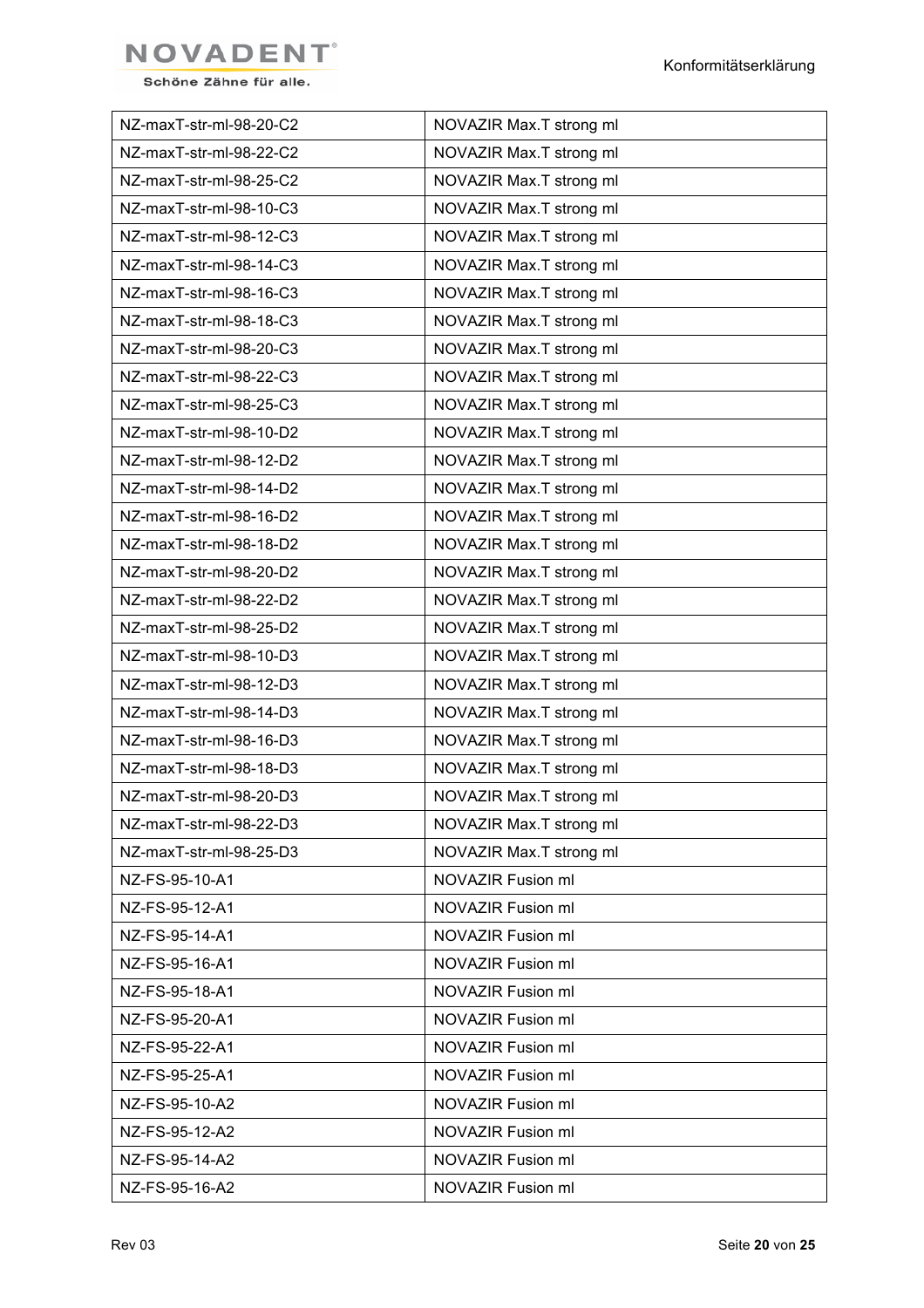

| NZ-maxT-str-ml-98-20-C2 | NOVAZIR Max.T strong ml |
|-------------------------|-------------------------|
| NZ-maxT-str-ml-98-22-C2 | NOVAZIR Max.T strong ml |
| NZ-maxT-str-ml-98-25-C2 | NOVAZIR Max.T strong ml |
| NZ-maxT-str-ml-98-10-C3 | NOVAZIR Max.T strong ml |
| NZ-maxT-str-ml-98-12-C3 | NOVAZIR Max.T strong ml |
| NZ-maxT-str-ml-98-14-C3 | NOVAZIR Max.T strong ml |
| NZ-maxT-str-ml-98-16-C3 | NOVAZIR Max.T strong ml |
| NZ-maxT-str-ml-98-18-C3 | NOVAZIR Max.T strong ml |
| NZ-maxT-str-ml-98-20-C3 | NOVAZIR Max.T strong ml |
| NZ-maxT-str-ml-98-22-C3 | NOVAZIR Max.T strong ml |
| NZ-maxT-str-ml-98-25-C3 | NOVAZIR Max.T strong ml |
| NZ-maxT-str-ml-98-10-D2 | NOVAZIR Max.T strong ml |
| NZ-maxT-str-ml-98-12-D2 | NOVAZIR Max.T strong ml |
| NZ-maxT-str-ml-98-14-D2 | NOVAZIR Max.T strong ml |
| NZ-maxT-str-ml-98-16-D2 | NOVAZIR Max.T strong ml |
| NZ-maxT-str-ml-98-18-D2 | NOVAZIR Max.T strong ml |
| NZ-maxT-str-ml-98-20-D2 | NOVAZIR Max.T strong ml |
| NZ-maxT-str-ml-98-22-D2 | NOVAZIR Max.T strong ml |
| NZ-maxT-str-ml-98-25-D2 | NOVAZIR Max.T strong ml |
| NZ-maxT-str-ml-98-10-D3 | NOVAZIR Max.T strong ml |
| NZ-maxT-str-ml-98-12-D3 | NOVAZIR Max.T strong ml |
| NZ-maxT-str-ml-98-14-D3 | NOVAZIR Max.T strong ml |
| NZ-maxT-str-ml-98-16-D3 | NOVAZIR Max.T strong ml |
| NZ-maxT-str-ml-98-18-D3 | NOVAZIR Max.T strong ml |
| NZ-maxT-str-ml-98-20-D3 | NOVAZIR Max.T strong ml |
| NZ-maxT-str-ml-98-22-D3 | NOVAZIR Max.T strong ml |
| NZ-maxT-str-ml-98-25-D3 | NOVAZIR Max.T strong ml |
| NZ-FS-95-10-A1          | NOVAZIR Fusion ml       |
| NZ-FS-95-12-A1          | NOVAZIR Fusion ml       |
| NZ-FS-95-14-A1          | NOVAZIR Fusion ml       |
| NZ-FS-95-16-A1          | NOVAZIR Fusion ml       |
| NZ-FS-95-18-A1          | NOVAZIR Fusion ml       |
| NZ-FS-95-20-A1          | NOVAZIR Fusion ml       |
| NZ-FS-95-22-A1          | NOVAZIR Fusion ml       |
| NZ-FS-95-25-A1          | NOVAZIR Fusion ml       |
| NZ-FS-95-10-A2          | NOVAZIR Fusion ml       |
| NZ-FS-95-12-A2          | NOVAZIR Fusion ml       |
| NZ-FS-95-14-A2          | NOVAZIR Fusion ml       |
| NZ-FS-95-16-A2          | NOVAZIR Fusion ml       |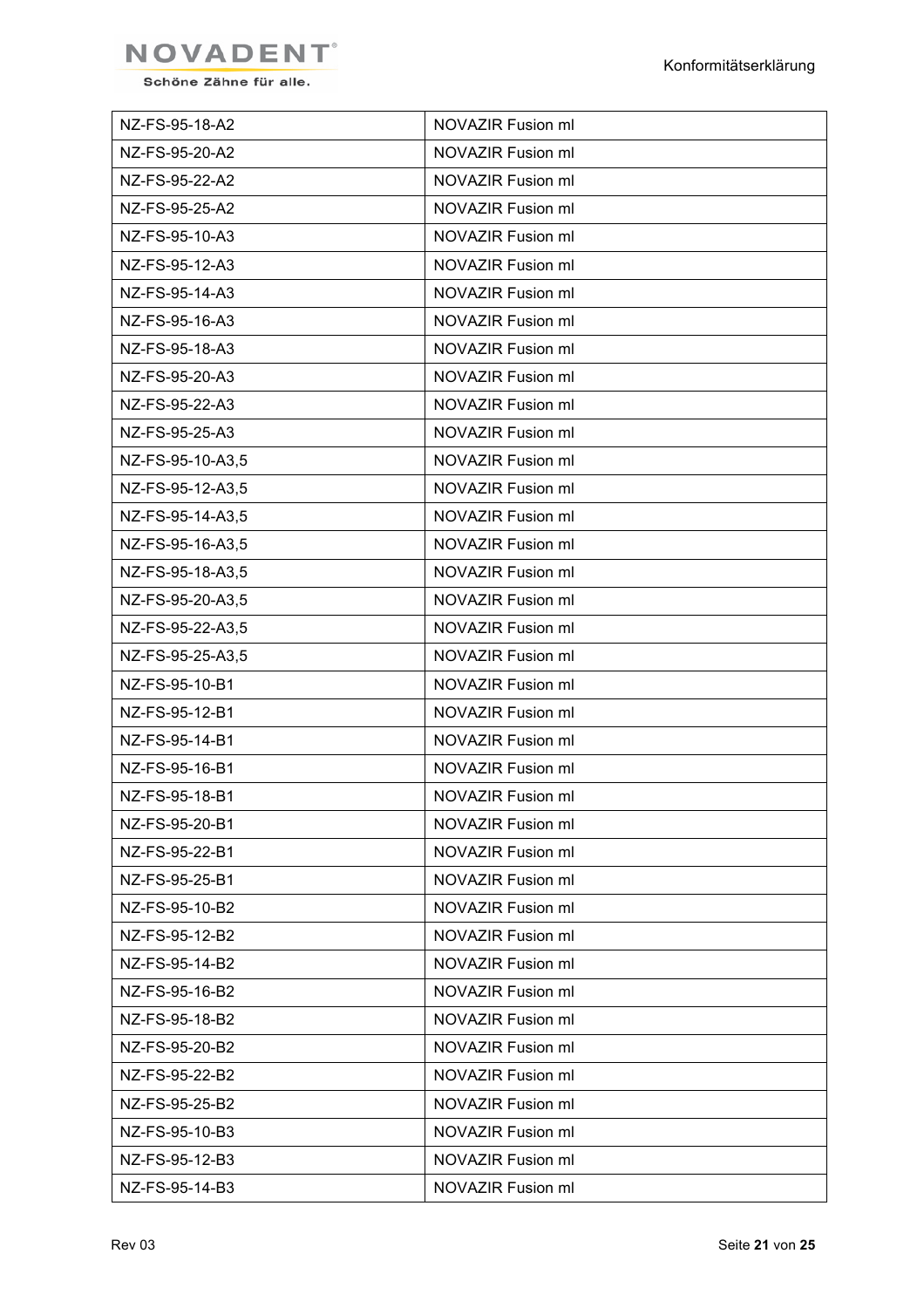

| NZ-FS-95-18-A2   | NOVAZIR Fusion ml        |
|------------------|--------------------------|
| NZ-FS-95-20-A2   | NOVAZIR Fusion ml        |
| NZ-FS-95-22-A2   | <b>NOVAZIR Fusion ml</b> |
| NZ-FS-95-25-A2   | <b>NOVAZIR Fusion ml</b> |
| NZ-FS-95-10-A3   | <b>NOVAZIR Fusion ml</b> |
| NZ-FS-95-12-A3   | <b>NOVAZIR Fusion ml</b> |
| NZ-FS-95-14-A3   | NOVAZIR Fusion ml        |
| NZ-FS-95-16-A3   | <b>NOVAZIR Fusion ml</b> |
| NZ-FS-95-18-A3   | <b>NOVAZIR Fusion ml</b> |
| NZ-FS-95-20-A3   | NOVAZIR Fusion ml        |
| NZ-FS-95-22-A3   | <b>NOVAZIR Fusion ml</b> |
| NZ-FS-95-25-A3   | NOVAZIR Fusion ml        |
| NZ-FS-95-10-A3,5 | <b>NOVAZIR Fusion ml</b> |
| NZ-FS-95-12-A3,5 | NOVAZIR Fusion ml        |
| NZ-FS-95-14-A3,5 | <b>NOVAZIR Fusion ml</b> |
| NZ-FS-95-16-A3,5 | NOVAZIR Fusion ml        |
| NZ-FS-95-18-A3,5 | NOVAZIR Fusion ml        |
| NZ-FS-95-20-A3,5 | <b>NOVAZIR Fusion ml</b> |
| NZ-FS-95-22-A3,5 | NOVAZIR Fusion ml        |
| NZ-FS-95-25-A3,5 | NOVAZIR Fusion ml        |
| NZ-FS-95-10-B1   | NOVAZIR Fusion ml        |
| NZ-FS-95-12-B1   | NOVAZIR Fusion ml        |
| NZ-FS-95-14-B1   | NOVAZIR Fusion ml        |
| NZ-FS-95-16-B1   | NOVAZIR Fusion ml        |
| NZ-FS-95-18-B1   | NOVAZIR Fusion ml        |
| NZ-FS-95-20-B1   | <b>NOVAZIR Fusion ml</b> |
| NZ-FS-95-22-B1   | <b>NOVAZIR Fusion ml</b> |
| NZ-FS-95-25-B1   | <b>NOVAZIR Fusion ml</b> |
| NZ-FS-95-10-B2   | <b>NOVAZIR Fusion ml</b> |
| NZ-FS-95-12-B2   | <b>NOVAZIR Fusion ml</b> |
| NZ-FS-95-14-B2   | <b>NOVAZIR Fusion ml</b> |
| NZ-FS-95-16-B2   | <b>NOVAZIR Fusion ml</b> |
| NZ-FS-95-18-B2   | <b>NOVAZIR Fusion ml</b> |
| NZ-FS-95-20-B2   | <b>NOVAZIR Fusion ml</b> |
| NZ-FS-95-22-B2   | <b>NOVAZIR Fusion ml</b> |
| NZ-FS-95-25-B2   | <b>NOVAZIR Fusion ml</b> |
| NZ-FS-95-10-B3   | <b>NOVAZIR Fusion ml</b> |
| NZ-FS-95-12-B3   | <b>NOVAZIR Fusion ml</b> |
| NZ-FS-95-14-B3   | NOVAZIR Fusion ml        |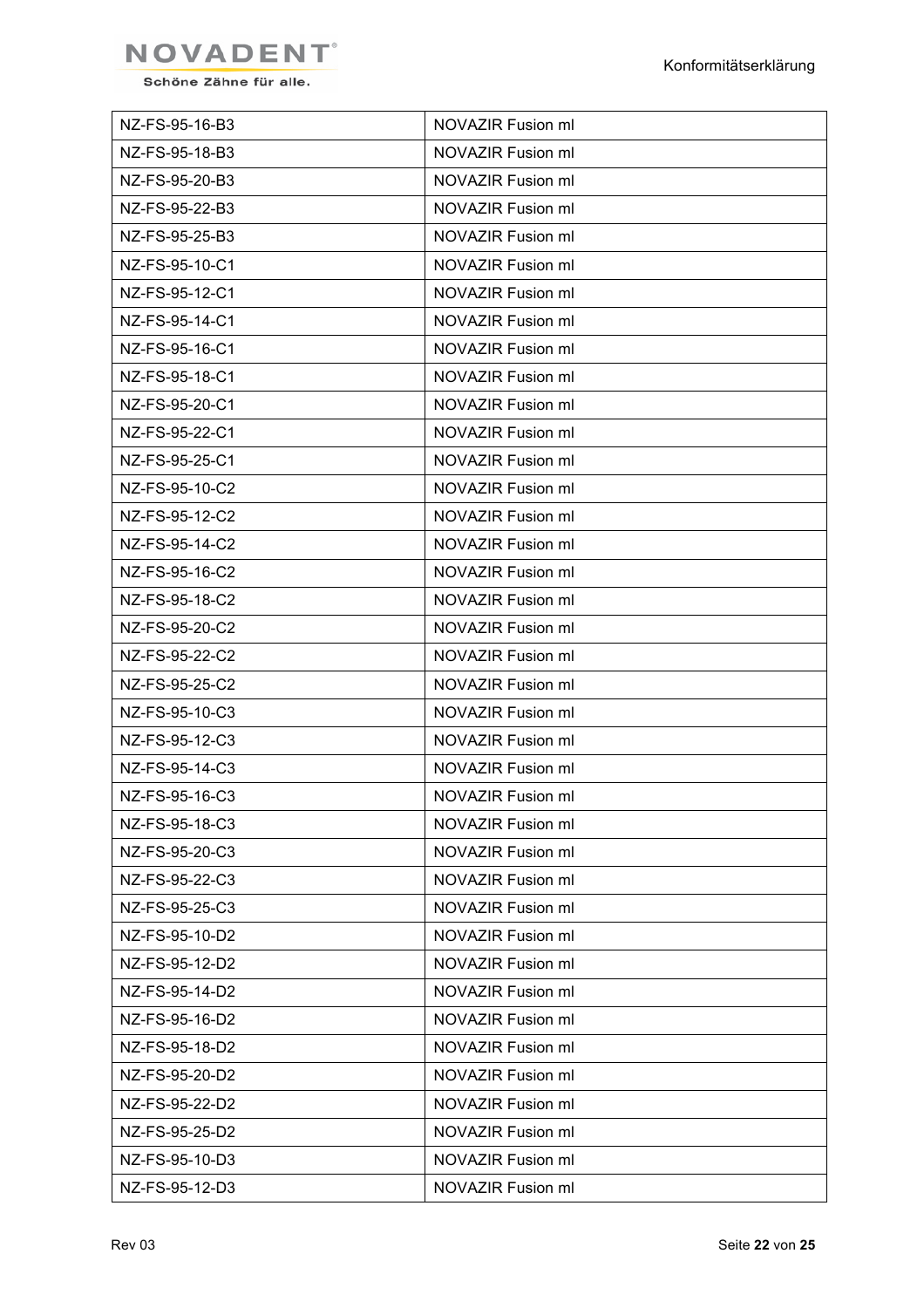

| NZ-FS-95-16-B3 | NOVAZIR Fusion ml |
|----------------|-------------------|
| NZ-FS-95-18-B3 | NOVAZIR Fusion ml |
| NZ-FS-95-20-B3 | NOVAZIR Fusion ml |
| NZ-FS-95-22-B3 | NOVAZIR Fusion ml |
| NZ-FS-95-25-B3 | NOVAZIR Fusion ml |
| NZ-FS-95-10-C1 | NOVAZIR Fusion ml |
| NZ-FS-95-12-C1 | NOVAZIR Fusion ml |
| NZ-FS-95-14-C1 | NOVAZIR Fusion ml |
| NZ-FS-95-16-C1 | NOVAZIR Fusion ml |
| NZ-FS-95-18-C1 | NOVAZIR Fusion ml |
| NZ-FS-95-20-C1 | NOVAZIR Fusion ml |
| NZ-FS-95-22-C1 | NOVAZIR Fusion ml |
| NZ-FS-95-25-C1 | NOVAZIR Fusion ml |
| NZ-FS-95-10-C2 | NOVAZIR Fusion ml |
| NZ-FS-95-12-C2 | NOVAZIR Fusion ml |
| NZ-FS-95-14-C2 | NOVAZIR Fusion ml |
| NZ-FS-95-16-C2 | NOVAZIR Fusion ml |
| NZ-FS-95-18-C2 | NOVAZIR Fusion ml |
| NZ-FS-95-20-C2 | NOVAZIR Fusion ml |
| NZ-FS-95-22-C2 | NOVAZIR Fusion ml |
| NZ-FS-95-25-C2 | NOVAZIR Fusion ml |
| NZ-FS-95-10-C3 | NOVAZIR Fusion ml |
| NZ-FS-95-12-C3 | NOVAZIR Fusion ml |
| NZ-FS-95-14-C3 | NOVAZIR Fusion ml |
| NZ-FS-95-16-C3 | NOVAZIR Fusion ml |
| NZ-FS-95-18-C3 | NOVAZIR Fusion ml |
| NZ-FS-95-20-C3 | NOVAZIR Fusion ml |
| NZ-FS-95-22-C3 | NOVAZIR Fusion ml |
| NZ-FS-95-25-C3 | NOVAZIR Fusion ml |
| NZ-FS-95-10-D2 | NOVAZIR Fusion ml |
| NZ-FS-95-12-D2 | NOVAZIR Fusion ml |
| NZ-FS-95-14-D2 | NOVAZIR Fusion ml |
| NZ-FS-95-16-D2 | NOVAZIR Fusion ml |
| NZ-FS-95-18-D2 | NOVAZIR Fusion ml |
| NZ-FS-95-20-D2 | NOVAZIR Fusion ml |
| NZ-FS-95-22-D2 | NOVAZIR Fusion ml |
| NZ-FS-95-25-D2 | NOVAZIR Fusion ml |
| NZ-FS-95-10-D3 | NOVAZIR Fusion ml |
| NZ-FS-95-12-D3 | NOVAZIR Fusion ml |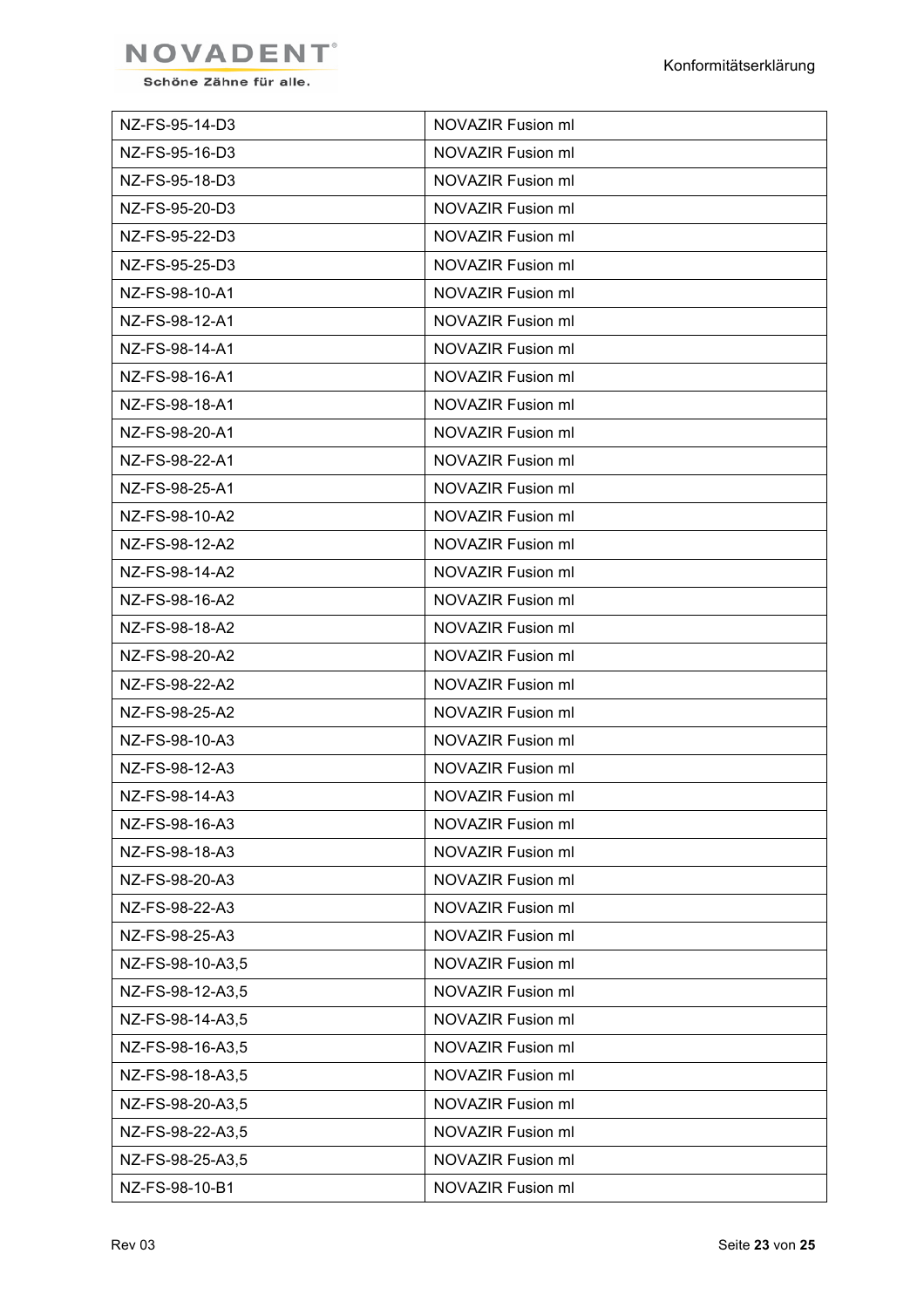

| NZ-FS-95-14-D3   | NOVAZIR Fusion ml |
|------------------|-------------------|
| NZ-FS-95-16-D3   | NOVAZIR Fusion ml |
| NZ-FS-95-18-D3   | NOVAZIR Fusion ml |
| NZ-FS-95-20-D3   | NOVAZIR Fusion ml |
| NZ-FS-95-22-D3   | NOVAZIR Fusion ml |
| NZ-FS-95-25-D3   | NOVAZIR Fusion ml |
| NZ-FS-98-10-A1   | NOVAZIR Fusion ml |
| NZ-FS-98-12-A1   | NOVAZIR Fusion ml |
| NZ-FS-98-14-A1   | NOVAZIR Fusion ml |
| NZ-FS-98-16-A1   | NOVAZIR Fusion ml |
| NZ-FS-98-18-A1   | NOVAZIR Fusion ml |
| NZ-FS-98-20-A1   | NOVAZIR Fusion ml |
| NZ-FS-98-22-A1   | NOVAZIR Fusion ml |
| NZ-FS-98-25-A1   | NOVAZIR Fusion ml |
| NZ-FS-98-10-A2   | NOVAZIR Fusion ml |
| NZ-FS-98-12-A2   | NOVAZIR Fusion ml |
| NZ-FS-98-14-A2   | NOVAZIR Fusion ml |
| NZ-FS-98-16-A2   | NOVAZIR Fusion ml |
| NZ-FS-98-18-A2   | NOVAZIR Fusion ml |
| NZ-FS-98-20-A2   | NOVAZIR Fusion ml |
| NZ-FS-98-22-A2   | NOVAZIR Fusion ml |
| NZ-FS-98-25-A2   | NOVAZIR Fusion ml |
| NZ-FS-98-10-A3   | NOVAZIR Fusion ml |
| NZ-FS-98-12-A3   | NOVAZIR Fusion ml |
| NZ-FS-98-14-A3   | NOVAZIR Fusion ml |
| NZ-FS-98-16-A3   | NOVAZIR Fusion ml |
| NZ-FS-98-18-A3   | NOVAZIR Fusion ml |
| NZ-FS-98-20-A3   | NOVAZIR Fusion ml |
| NZ-FS-98-22-A3   | NOVAZIR Fusion ml |
| NZ-FS-98-25-A3   | NOVAZIR Fusion ml |
| NZ-FS-98-10-A3,5 | NOVAZIR Fusion ml |
| NZ-FS-98-12-A3,5 | NOVAZIR Fusion ml |
| NZ-FS-98-14-A3,5 | NOVAZIR Fusion ml |
| NZ-FS-98-16-A3,5 | NOVAZIR Fusion ml |
| NZ-FS-98-18-A3,5 | NOVAZIR Fusion ml |
| NZ-FS-98-20-A3,5 | NOVAZIR Fusion ml |
| NZ-FS-98-22-A3,5 | NOVAZIR Fusion ml |
| NZ-FS-98-25-A3,5 | NOVAZIR Fusion ml |
| NZ-FS-98-10-B1   | NOVAZIR Fusion ml |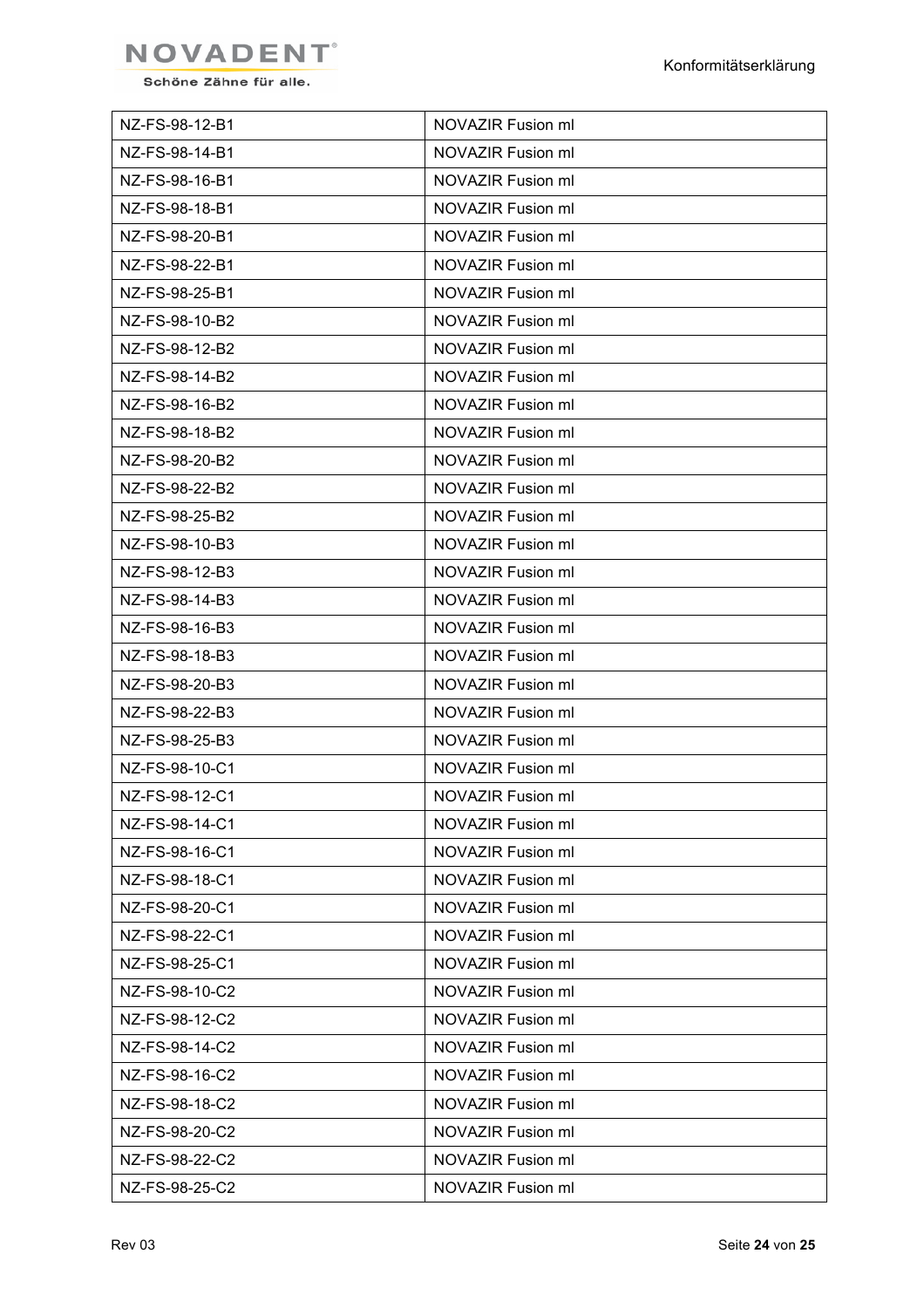

| NZ-FS-98-12-B1 | NOVAZIR Fusion ml |
|----------------|-------------------|
| NZ-FS-98-14-B1 | NOVAZIR Fusion ml |
| NZ-FS-98-16-B1 | NOVAZIR Fusion ml |
| NZ-FS-98-18-B1 | NOVAZIR Fusion ml |
| NZ-FS-98-20-B1 | NOVAZIR Fusion ml |
| NZ-FS-98-22-B1 | NOVAZIR Fusion ml |
| NZ-FS-98-25-B1 | NOVAZIR Fusion ml |
| NZ-FS-98-10-B2 | NOVAZIR Fusion ml |
| NZ-FS-98-12-B2 | NOVAZIR Fusion ml |
| NZ-FS-98-14-B2 | NOVAZIR Fusion ml |
| NZ-FS-98-16-B2 | NOVAZIR Fusion ml |
| NZ-FS-98-18-B2 | NOVAZIR Fusion ml |
| NZ-FS-98-20-B2 | NOVAZIR Fusion ml |
| NZ-FS-98-22-B2 | NOVAZIR Fusion ml |
| NZ-FS-98-25-B2 | NOVAZIR Fusion ml |
| NZ-FS-98-10-B3 | NOVAZIR Fusion ml |
| NZ-FS-98-12-B3 | NOVAZIR Fusion ml |
| NZ-FS-98-14-B3 | NOVAZIR Fusion ml |
| NZ-FS-98-16-B3 | NOVAZIR Fusion ml |
| NZ-FS-98-18-B3 | NOVAZIR Fusion ml |
| NZ-FS-98-20-B3 | NOVAZIR Fusion ml |
| NZ-FS-98-22-B3 | NOVAZIR Fusion ml |
| NZ-FS-98-25-B3 | NOVAZIR Fusion ml |
| NZ-FS-98-10-C1 | NOVAZIR Fusion ml |
| NZ-FS-98-12-C1 | NOVAZIR Fusion ml |
| NZ-FS-98-14-C1 | NOVAZIR Fusion ml |
| NZ-FS-98-16-C1 | NOVAZIR Fusion ml |
| NZ-FS-98-18-C1 | NOVAZIR Fusion ml |
| NZ-FS-98-20-C1 | NOVAZIR Fusion ml |
| NZ-FS-98-22-C1 | NOVAZIR Fusion ml |
| NZ-FS-98-25-C1 | NOVAZIR Fusion ml |
| NZ-FS-98-10-C2 | NOVAZIR Fusion ml |
| NZ-FS-98-12-C2 | NOVAZIR Fusion ml |
| NZ-FS-98-14-C2 | NOVAZIR Fusion ml |
| NZ-FS-98-16-C2 | NOVAZIR Fusion ml |
| NZ-FS-98-18-C2 | NOVAZIR Fusion ml |
| NZ-FS-98-20-C2 | NOVAZIR Fusion ml |
| NZ-FS-98-22-C2 | NOVAZIR Fusion ml |
| NZ-FS-98-25-C2 | NOVAZIR Fusion ml |